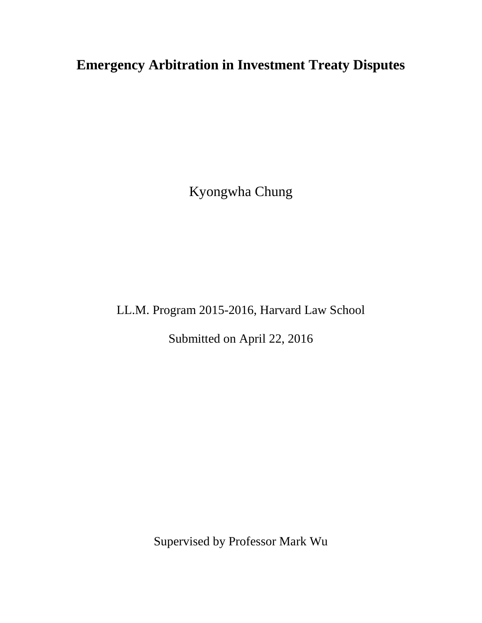# **Emergency Arbitration in Investment Treaty Disputes**

Kyongwha Chung

LL.M. Program 2015-2016, Harvard Law School

Submitted on April 22, 2016

Supervised by Professor Mark Wu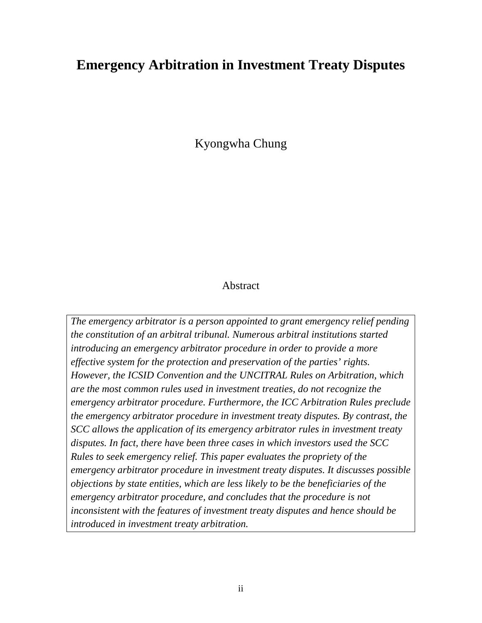## **Emergency Arbitration in Investment Treaty Disputes**

Kyongwha Chung

## Abstract

*The emergency arbitrator is a person appointed to grant emergency relief pending the constitution of an arbitral tribunal. Numerous arbitral institutions started introducing an emergency arbitrator procedure in order to provide a more effective system for the protection and preservation of the parties' rights. However, the ICSID Convention and the UNCITRAL Rules on Arbitration, which are the most common rules used in investment treaties, do not recognize the emergency arbitrator procedure. Furthermore, the ICC Arbitration Rules preclude the emergency arbitrator procedure in investment treaty disputes. By contrast, the SCC allows the application of its emergency arbitrator rules in investment treaty disputes. In fact, there have been three cases in which investors used the SCC Rules to seek emergency relief. This paper evaluates the propriety of the emergency arbitrator procedure in investment treaty disputes. It discusses possible objections by state entities, which are less likely to be the beneficiaries of the emergency arbitrator procedure, and concludes that the procedure is not inconsistent with the features of investment treaty disputes and hence should be introduced in investment treaty arbitration.*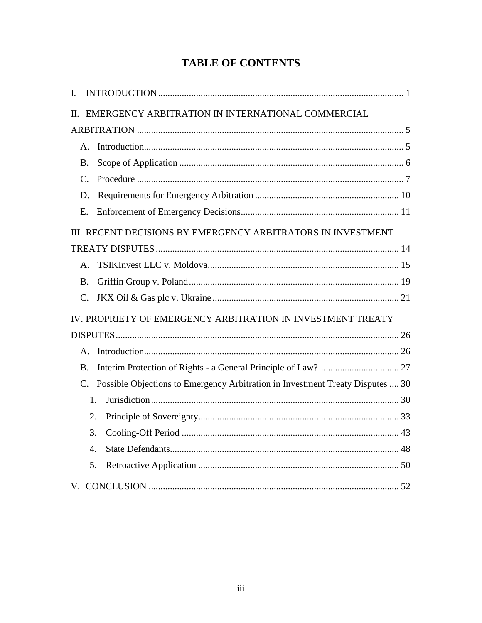## **TABLE OF CONTENTS**

| L.              |                                                                                   |  |
|-----------------|-----------------------------------------------------------------------------------|--|
| II.             | EMERGENCY ARBITRATION IN INTERNATIONAL COMMERCIAL                                 |  |
|                 |                                                                                   |  |
| $\mathsf{A}$ .  |                                                                                   |  |
| <b>B.</b>       |                                                                                   |  |
| $C_{\cdot}$     |                                                                                   |  |
| D.              |                                                                                   |  |
| E.              |                                                                                   |  |
|                 | III. RECENT DECISIONS BY EMERGENCY ARBITRATORS IN INVESTMENT                      |  |
|                 |                                                                                   |  |
| $\mathsf{A}$ .  |                                                                                   |  |
| <b>B.</b>       |                                                                                   |  |
| $\mathcal{C}$ . |                                                                                   |  |
|                 | IV. PROPRIETY OF EMERGENCY ARBITRATION IN INVESTMENT TREATY                       |  |
|                 |                                                                                   |  |
| $\mathsf{A}$ .  |                                                                                   |  |
| <b>B.</b>       |                                                                                   |  |
|                 | C. Possible Objections to Emergency Arbitration in Investment Treaty Disputes  30 |  |
|                 | 1.                                                                                |  |
|                 | 2.                                                                                |  |
|                 | 3.                                                                                |  |
|                 | $\overline{4}$ .                                                                  |  |
|                 | 5.                                                                                |  |
|                 |                                                                                   |  |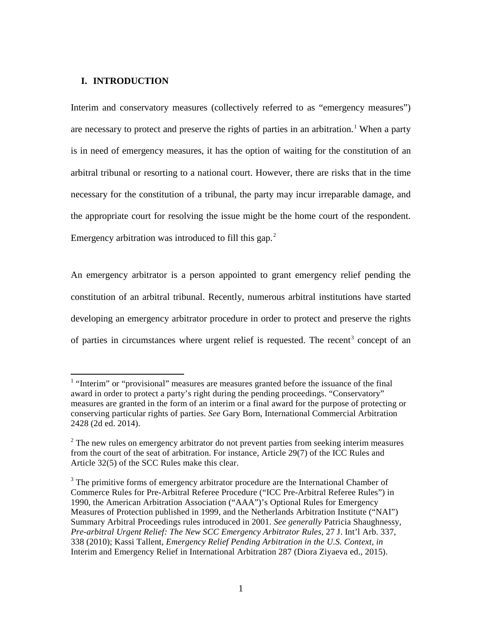#### **I. INTRODUCTION**

Interim and conservatory measures (collectively referred to as "emergency measures") are necessary to protect and preserve the rights of parties in an arbitration.<sup>[1](#page-3-0)</sup> When a party is in need of emergency measures, it has the option of waiting for the constitution of an arbitral tribunal or resorting to a national court. However, there are risks that in the time necessary for the constitution of a tribunal, the party may incur irreparable damage, and the appropriate court for resolving the issue might be the home court of the respondent. Emergency arbitration was introduced to fill this gap.<sup>[2](#page-3-1)</sup>

An emergency arbitrator is a person appointed to grant emergency relief pending the constitution of an arbitral tribunal. Recently, numerous arbitral institutions have started developing an emergency arbitrator procedure in order to protect and preserve the rights of parties in circumstances where urgent relief is requested. The recent<sup>[3](#page-3-2)</sup> concept of an

<span id="page-3-0"></span> $<sup>1</sup>$  "Interim" or "provisional" measures are measures granted before the issuance of the final</sup> award in order to protect a party's right during the pending proceedings. "Conservatory" measures are granted in the form of an interim or a final award for the purpose of protecting or conserving particular rights of parties. *See* Gary Born, International Commercial Arbitration 2428 (2d ed. 2014).

<span id="page-3-1"></span> $2$  The new rules on emergency arbitrator do not prevent parties from seeking interim measures from the court of the seat of arbitration. For instance, Article 29(7) of the ICC Rules and Article 32(5) of the SCC Rules make this clear.

<span id="page-3-2"></span> $3$  The primitive forms of emergency arbitrator procedure are the International Chamber of Commerce Rules for Pre-Arbitral Referee Procedure ("ICC Pre-Arbitral Referee Rules") in 1990, the American Arbitration Association ("AAA")'s Optional Rules for Emergency Measures of Protection published in 1999, and the Netherlands Arbitration Institute ("NAI") Summary Arbitral Proceedings rules introduced in 2001. *See generally* Patricia Shaughnessy, *Pre-arbitral Urgent Relief: The New SCC Emergency Arbitrator Rules,* 27 J. Int'l Arb. 337, 338 (2010); Kassi Tallent, *Emergency Relief Pending Arbitration in the U.S. Context, in* Interim and Emergency Relief in International Arbitration 287 (Diora Ziyaeva ed., 2015).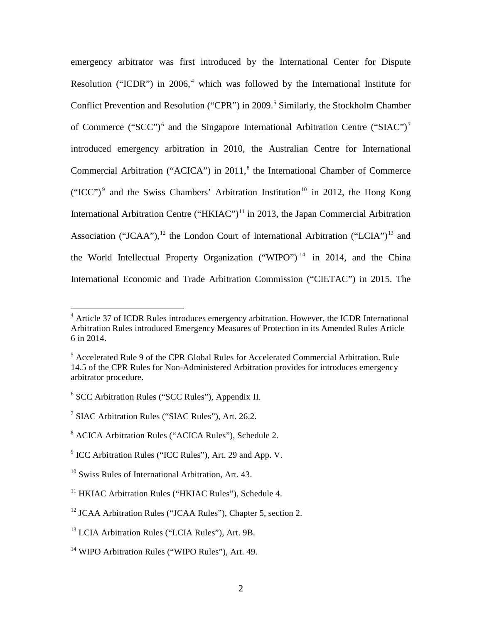emergency arbitrator was first introduced by the International Center for Dispute Resolution ("ICDR") in  $2006$ ,  $4$  which was followed by the International Institute for Conflict Prevention and Resolution ("CPR") in 2009.<sup>[5](#page-4-1)</sup> Similarly, the Stockholm Chamber of Commerce ("SCC")<sup>[6](#page-4-2)</sup> and the Singapore International Arbitration Centre ("SIAC")<sup>[7](#page-4-3)</sup> introduced emergency arbitration in 2010, the Australian Centre for International Commercial Arbitration ("ACICA") in 2011,<sup>[8](#page-4-4)</sup> the International Chamber of Commerce ("ICC")<sup>[9](#page-4-5)</sup> and the Swiss Chambers' Arbitration Institution<sup>[10](#page-4-6)</sup> in 2012, the Hong Kong International Arbitration Centre ("HKIAC")<sup>[11](#page-4-7)</sup> in 2013, the Japan Commercial Arbitration Association ("JCAA"),<sup>[12](#page-4-8)</sup> the London Court of International Arbitration ("LCIA")<sup>[13](#page-4-9)</sup> and the World Intellectual Property Organization ("WIPO")<sup>[14](#page-4-10)</sup> in 2014, and the China International Economic and Trade Arbitration Commission ("CIETAC") in 2015. The

<span id="page-4-0"></span> $4$  Article 37 of ICDR Rules introduces emergency arbitration. However, the ICDR International Arbitration Rules introduced Emergency Measures of Protection in its Amended Rules Article 6 in 2014.

<span id="page-4-1"></span> $<sup>5</sup>$  Accelerated Rule 9 of the CPR Global Rules for Accelerated Commercial Arbitration. Rule</sup> 14.5 of the CPR Rules for Non-Administered Arbitration provides for introduces emergency arbitrator procedure.

<span id="page-4-2"></span><sup>6</sup> SCC Arbitration Rules ("SCC Rules"), Appendix II.

<span id="page-4-3"></span><sup>7</sup> SIAC Arbitration Rules ("SIAC Rules"), Art. 26.2.

<span id="page-4-4"></span><sup>8</sup> ACICA Arbitration Rules ("ACICA Rules"), Schedule 2.

<span id="page-4-5"></span> $9$  ICC Arbitration Rules ("ICC Rules"), Art. 29 and App. V.

<span id="page-4-6"></span><sup>&</sup>lt;sup>10</sup> Swiss Rules of International Arbitration, Art. 43.

<span id="page-4-7"></span><sup>&</sup>lt;sup>11</sup> HKIAC Arbitration Rules ("HKIAC Rules"), Schedule 4.

<span id="page-4-8"></span><sup>&</sup>lt;sup>12</sup> JCAA Arbitration Rules ("JCAA Rules"), Chapter 5, section 2.

<span id="page-4-9"></span><sup>&</sup>lt;sup>13</sup> LCIA Arbitration Rules ("LCIA Rules"), Art. 9B.

<span id="page-4-10"></span><sup>&</sup>lt;sup>14</sup> WIPO Arbitration Rules ("WIPO Rules"), Art. 49.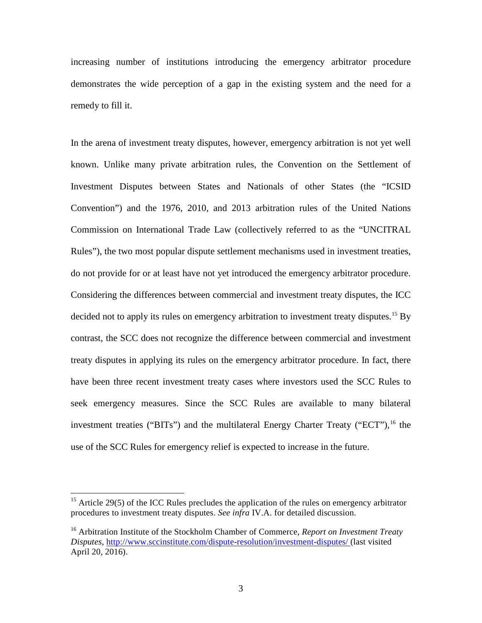increasing number of institutions introducing the emergency arbitrator procedure demonstrates the wide perception of a gap in the existing system and the need for a remedy to fill it.

In the arena of investment treaty disputes, however, emergency arbitration is not yet well known. Unlike many private arbitration rules, the Convention on the Settlement of Investment Disputes between States and Nationals of other States (the "ICSID Convention") and the 1976, 2010, and 2013 arbitration rules of the United Nations Commission on International Trade Law (collectively referred to as the "UNCITRAL Rules"), the two most popular dispute settlement mechanisms used in investment treaties, do not provide for or at least have not yet introduced the emergency arbitrator procedure. Considering the differences between commercial and investment treaty disputes, the ICC decided not to apply its rules on emergency arbitration to investment treaty disputes.<sup>[15](#page-5-0)</sup> By contrast, the SCC does not recognize the difference between commercial and investment treaty disputes in applying its rules on the emergency arbitrator procedure. In fact, there have been three recent investment treaty cases where investors used the SCC Rules to seek emergency measures. Since the SCC Rules are available to many bilateral investment treaties ("BITs") and the multilateral Energy Charter Treaty ("ECT"),  $^{16}$  $^{16}$  $^{16}$  the use of the SCC Rules for emergency relief is expected to increase in the future.

<span id="page-5-0"></span><sup>&</sup>lt;sup>15</sup> Article 29(5) of the ICC Rules precludes the application of the rules on emergency arbitrator procedures to investment treaty disputes. *See infra* IV.A. for detailed discussion.

<span id="page-5-1"></span><sup>16</sup> Arbitration Institute of the Stockholm Chamber of Commerce, *Report on Investment Treaty Disputes*,<http://www.sccinstitute.com/dispute-resolution/investment-disputes/> (last visited April 20, 2016).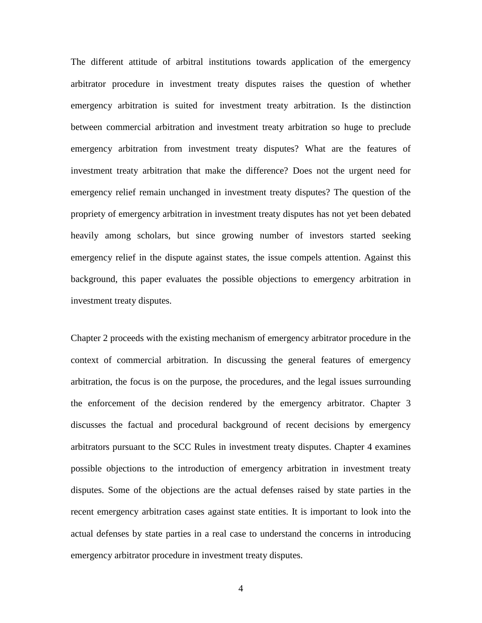The different attitude of arbitral institutions towards application of the emergency arbitrator procedure in investment treaty disputes raises the question of whether emergency arbitration is suited for investment treaty arbitration. Is the distinction between commercial arbitration and investment treaty arbitration so huge to preclude emergency arbitration from investment treaty disputes? What are the features of investment treaty arbitration that make the difference? Does not the urgent need for emergency relief remain unchanged in investment treaty disputes? The question of the propriety of emergency arbitration in investment treaty disputes has not yet been debated heavily among scholars, but since growing number of investors started seeking emergency relief in the dispute against states, the issue compels attention. Against this background, this paper evaluates the possible objections to emergency arbitration in investment treaty disputes.

Chapter 2 proceeds with the existing mechanism of emergency arbitrator procedure in the context of commercial arbitration. In discussing the general features of emergency arbitration, the focus is on the purpose, the procedures, and the legal issues surrounding the enforcement of the decision rendered by the emergency arbitrator. Chapter 3 discusses the factual and procedural background of recent decisions by emergency arbitrators pursuant to the SCC Rules in investment treaty disputes. Chapter 4 examines possible objections to the introduction of emergency arbitration in investment treaty disputes. Some of the objections are the actual defenses raised by state parties in the recent emergency arbitration cases against state entities. It is important to look into the actual defenses by state parties in a real case to understand the concerns in introducing emergency arbitrator procedure in investment treaty disputes.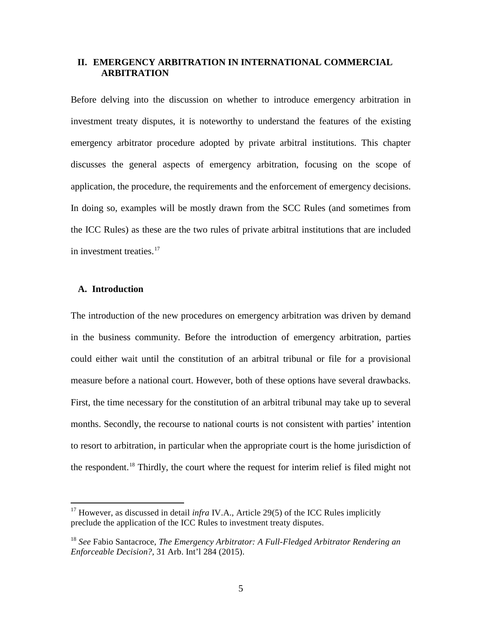## **II. EMERGENCY ARBITRATION IN INTERNATIONAL COMMERCIAL ARBITRATION**

Before delving into the discussion on whether to introduce emergency arbitration in investment treaty disputes, it is noteworthy to understand the features of the existing emergency arbitrator procedure adopted by private arbitral institutions. This chapter discusses the general aspects of emergency arbitration, focusing on the scope of application, the procedure, the requirements and the enforcement of emergency decisions. In doing so, examples will be mostly drawn from the SCC Rules (and sometimes from the ICC Rules) as these are the two rules of private arbitral institutions that are included in investment treaties. $17$ 

#### **A. Introduction**

The introduction of the new procedures on emergency arbitration was driven by demand in the business community. Before the introduction of emergency arbitration, parties could either wait until the constitution of an arbitral tribunal or file for a provisional measure before a national court. However, both of these options have several drawbacks. First, the time necessary for the constitution of an arbitral tribunal may take up to several months. Secondly, the recourse to national courts is not consistent with parties' intention to resort to arbitration, in particular when the appropriate court is the home jurisdiction of the respondent.<sup>[18](#page-7-1)</sup> Thirdly, the court where the request for interim relief is filed might not

<span id="page-7-0"></span><sup>&</sup>lt;sup>17</sup> However, as discussed in detail *infra* IV.A., Article 29(5) of the ICC Rules implicitly preclude the application of the ICC Rules to investment treaty disputes.

<span id="page-7-1"></span><sup>18</sup> *See* Fabio Santacroce, *The Emergency Arbitrator: A Full-Fledged Arbitrator Rendering an Enforceable Decision?,* 31 Arb. Int'l 284 (2015).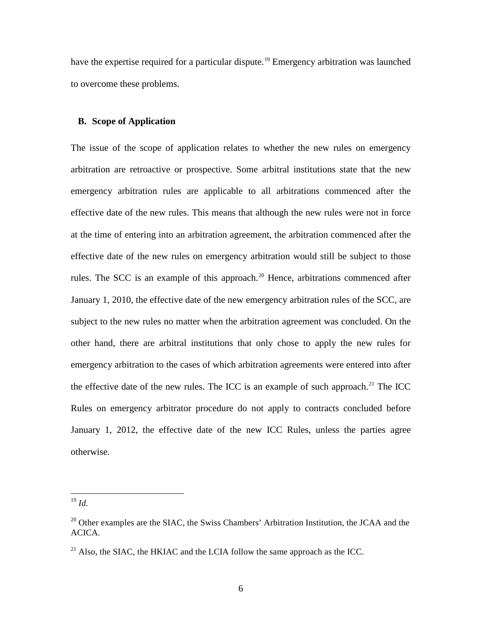have the expertise required for a particular dispute.<sup>[19](#page-8-0)</sup> Emergency arbitration was launched to overcome these problems.

#### **B. Scope of Application**

The issue of the scope of application relates to whether the new rules on emergency arbitration are retroactive or prospective. Some arbitral institutions state that the new emergency arbitration rules are applicable to all arbitrations commenced after the effective date of the new rules. This means that although the new rules were not in force at the time of entering into an arbitration agreement, the arbitration commenced after the effective date of the new rules on emergency arbitration would still be subject to those rules. The SCC is an example of this approach.<sup>[20](#page-8-1)</sup> Hence, arbitrations commenced after January 1, 2010, the effective date of the new emergency arbitration rules of the SCC, are subject to the new rules no matter when the arbitration agreement was concluded. On the other hand, there are arbitral institutions that only chose to apply the new rules for emergency arbitration to the cases of which arbitration agreements were entered into after the effective date of the new rules. The ICC is an example of such approach.<sup>[21](#page-8-2)</sup> The ICC Rules on emergency arbitrator procedure do not apply to contracts concluded before January 1, 2012, the effective date of the new ICC Rules, unless the parties agree otherwise.

<span id="page-8-0"></span>19 *Id.*

<span id="page-8-1"></span> $20$  Other examples are the SIAC, the Swiss Chambers' Arbitration Institution, the JCAA and the ACICA.

<span id="page-8-2"></span> $^{21}$  Also, the SIAC, the HKIAC and the LCIA follow the same approach as the ICC.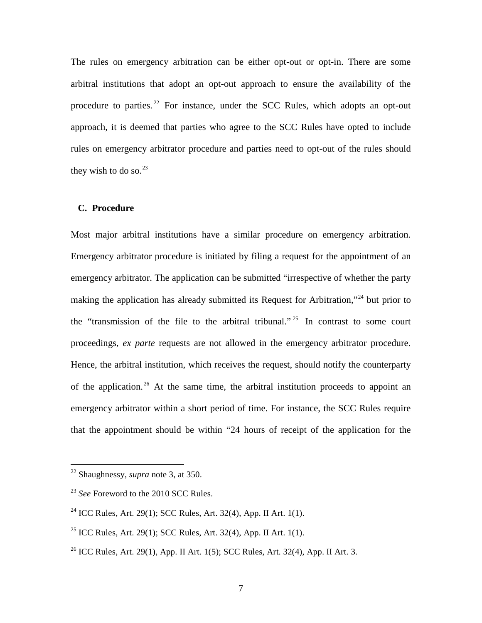The rules on emergency arbitration can be either opt-out or opt-in. There are some arbitral institutions that adopt an opt-out approach to ensure the availability of the procedure to parties.<sup>[22](#page-9-0)</sup> For instance, under the SCC Rules, which adopts an opt-out approach, it is deemed that parties who agree to the SCC Rules have opted to include rules on emergency arbitrator procedure and parties need to opt-out of the rules should they wish to do so. $^{23}$  $^{23}$  $^{23}$ 

## **C. Procedure**

Most major arbitral institutions have a similar procedure on emergency arbitration. Emergency arbitrator procedure is initiated by filing a request for the appointment of an emergency arbitrator. The application can be submitted "irrespective of whether the party making the application has already submitted its Request for Arbitration,"[24](#page-9-2) but prior to the "transmission of the file to the arbitral tribunal." <sup>[25](#page-9-3)</sup> In contrast to some court proceedings, *ex parte* requests are not allowed in the emergency arbitrator procedure. Hence, the arbitral institution, which receives the request, should notify the counterparty of the application.<sup>[26](#page-9-4)</sup> At the same time, the arbitral institution proceeds to appoint an emergency arbitrator within a short period of time. For instance, the SCC Rules require that the appointment should be within "24 hours of receipt of the application for the

<span id="page-9-0"></span><sup>22</sup> Shaughnessy, *supra* note 3, at 350.

<span id="page-9-1"></span><sup>&</sup>lt;sup>23</sup> *See* Foreword to the 2010 SCC Rules.

<span id="page-9-2"></span><sup>&</sup>lt;sup>24</sup> ICC Rules, Art. 29(1); SCC Rules, Art. 32(4), App. II Art. 1(1).

<span id="page-9-3"></span><sup>&</sup>lt;sup>25</sup> ICC Rules, Art. 29(1); SCC Rules, Art. 32(4), App. II Art. 1(1).

<span id="page-9-4"></span><sup>&</sup>lt;sup>26</sup> ICC Rules, Art. 29(1), App. II Art. 1(5); SCC Rules, Art. 32(4), App. II Art. 3.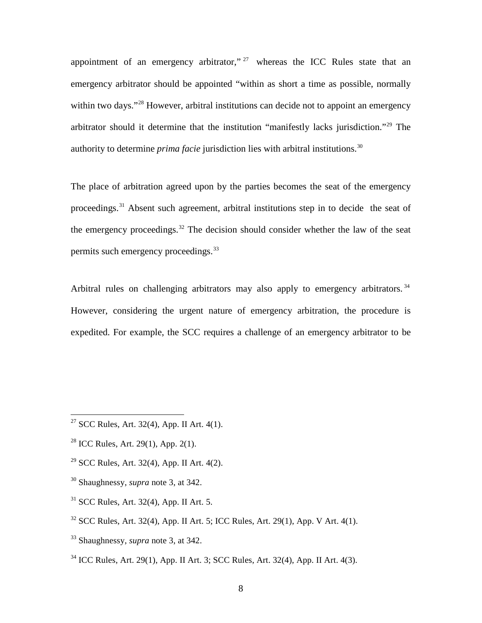appointment of an emergency arbitrator,"  $27$  whereas the ICC Rules state that an emergency arbitrator should be appointed "within as short a time as possible, normally within two days."<sup>[28](#page-10-1)</sup> However, arbitral institutions can decide not to appoint an emergency arbitrator should it determine that the institution "manifestly lacks jurisdiction."[29](#page-10-2) The authority to determine *prima facie* jurisdiction lies with arbitral institutions.<sup>[30](#page-10-3)</sup>

The place of arbitration agreed upon by the parties becomes the seat of the emergency proceedings.<sup>[31](#page-10-4)</sup> Absent such agreement, arbitral institutions step in to decide the seat of the emergency proceedings. $32$  The decision should consider whether the law of the seat permits such emergency proceedings.<sup>[33](#page-10-6)</sup>

Arbitral rules on challenging arbitrators may also apply to emergency arbitrators.<sup>[34](#page-10-7)</sup> However, considering the urgent nature of emergency arbitration, the procedure is expedited. For example, the SCC requires a challenge of an emergency arbitrator to be

- <span id="page-10-1"></span><sup>28</sup> ICC Rules, Art. 29(1), App. 2(1).
- <span id="page-10-2"></span><sup>29</sup> SCC Rules, Art. 32(4), App. II Art. 4(2).
- <span id="page-10-3"></span><sup>30</sup> Shaughnessy, *supra* note 3, at 342.
- <span id="page-10-4"></span> $31$  SCC Rules, Art. 32(4), App. II Art. 5.
- <span id="page-10-5"></span> $32$  SCC Rules, Art. 32(4), App. II Art. 5; ICC Rules, Art. 29(1), App. V Art. 4(1).
- <span id="page-10-6"></span><sup>33</sup> Shaughnessy, *supra* note 3, at 342.
- <span id="page-10-7"></span> $34$  ICC Rules, Art. 29(1), App. II Art. 3; SCC Rules, Art. 32(4), App. II Art. 4(3).

<span id="page-10-0"></span><sup>&</sup>lt;sup>27</sup> SCC Rules, Art. 32(4), App. II Art. 4(1).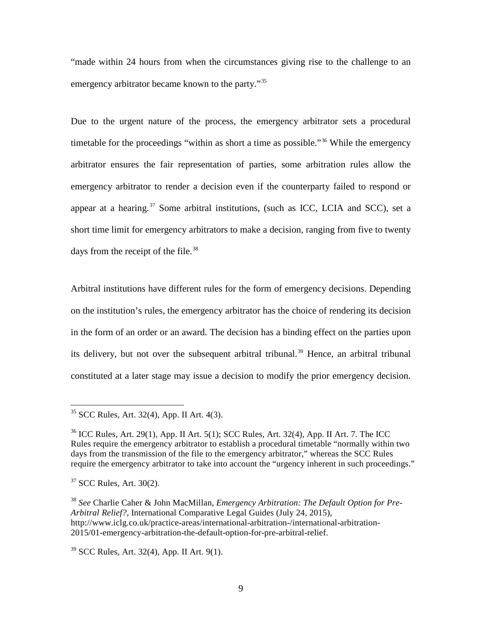"made within 24 hours from when the circumstances giving rise to the challenge to an emergency arbitrator became known to the party."<sup>[35](#page-11-0)</sup>

Due to the urgent nature of the process, the emergency arbitrator sets a procedural timetable for the proceedings "within as short a time as possible."<sup>[36](#page-11-1)</sup> While the emergency arbitrator ensures the fair representation of parties, some arbitration rules allow the emergency arbitrator to render a decision even if the counterparty failed to respond or appear at a hearing. $37$  Some arbitral institutions, (such as ICC, LCIA and SCC), set a short time limit for emergency arbitrators to make a decision, ranging from five to twenty days from the receipt of the file.<sup>[38](#page-11-3)</sup>

Arbitral institutions have different rules for the form of emergency decisions. Depending on the institution's rules, the emergency arbitrator has the choice of rendering its decision in the form of an order or an award. The decision has a binding effect on the parties upon its delivery, but not over the subsequent arbitral tribunal.<sup>[39](#page-11-4)</sup> Hence, an arbitral tribunal constituted at a later stage may issue a decision to modify the prior emergency decision.

 $\overline{a}$ 

<span id="page-11-0"></span> $35$  SCC Rules, Art. 32(4), App. II Art. 4(3).

<span id="page-11-1"></span> $36$  ICC Rules, Art. 29(1), App. II Art. 5(1); SCC Rules, Art. 32(4), App. II Art. 7. The ICC Rules require the emergency arbitrator to establish a procedural timetable "normally within two days from the transmission of the file to the emergency arbitrator," whereas the SCC Rules require the emergency arbitrator to take into account the "urgency inherent in such proceedings."

<span id="page-11-2"></span> $37$  SCC Rules, Art. 30(2).

<span id="page-11-3"></span><sup>38</sup> *See* Charlie Caher & John MacMillan, *Emergency Arbitration: The Default Option for Pre-Arbitral Relief?*, International Comparative Legal Guides (July 24, 2015), [http://www.iclg.co.uk/practice-areas/international-arbitration-/international-arbitration-](http://www.iclg.co.uk/practice-areas/international-arbitration-/international-arbitration-2015/01-emergency-arbitration-the-default-option-for-pre-arbitral-relief)[2015/01-emergency-arbitration-the-default-option-for-pre-arbitral-relief.](http://www.iclg.co.uk/practice-areas/international-arbitration-/international-arbitration-2015/01-emergency-arbitration-the-default-option-for-pre-arbitral-relief)

<span id="page-11-4"></span><sup>39</sup> SCC Rules, Art. 32(4), App. II Art. 9(1).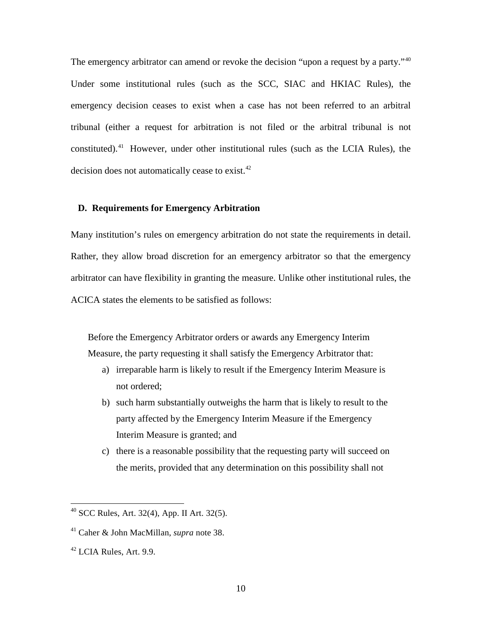The emergency arbitrator can amend or revoke the decision "upon a request by a party."<sup>[40](#page-12-0)</sup> Under some institutional rules (such as the SCC, SIAC and HKIAC Rules), the emergency decision ceases to exist when a case has not been referred to an arbitral tribunal (either a request for arbitration is not filed or the arbitral tribunal is not constituted). [41](#page-12-1) However, under other institutional rules (such as the LCIA Rules), the decision does not automatically cease to exist.<sup>[42](#page-12-2)</sup>

#### **D. Requirements for Emergency Arbitration**

Many institution's rules on emergency arbitration do not state the requirements in detail. Rather, they allow broad discretion for an emergency arbitrator so that the emergency arbitrator can have flexibility in granting the measure. Unlike other institutional rules, the ACICA states the elements to be satisfied as follows:

Before the Emergency Arbitrator orders or awards any Emergency Interim Measure, the party requesting it shall satisfy the Emergency Arbitrator that:

- a) irreparable harm is likely to result if the Emergency Interim Measure is not ordered;
- b) such harm substantially outweighs the harm that is likely to result to the party affected by the Emergency Interim Measure if the Emergency Interim Measure is granted; and
- c) there is a reasonable possibility that the requesting party will succeed on the merits, provided that any determination on this possibility shall not

<span id="page-12-0"></span><sup>40</sup> SCC Rules, Art. 32(4), App. II Art. 32(5).

<span id="page-12-1"></span><sup>41</sup> Caher & John MacMillan, *supra* note 38.

<span id="page-12-2"></span> $42$  LCIA Rules, Art. 9.9.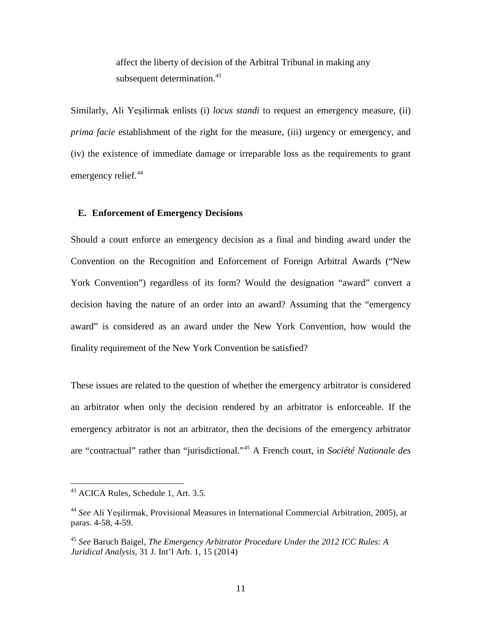affect the liberty of decision of the Arbitral Tribunal in making any subsequent determination.<sup>[43](#page-13-0)</sup>

Similarly, Ali Yeşilirmak enlists (i) *locus standi* to request an emergency measure, (ii) *prima facie* establishment of the right for the measure, (iii) urgency or emergency, and (iv) the existence of immediate damage or irreparable loss as the requirements to grant emergency relief.<sup>[44](#page-13-1)</sup>

#### **E. Enforcement of Emergency Decisions**

Should a court enforce an emergency decision as a final and binding award under the Convention on the Recognition and Enforcement of Foreign Arbitral Awards ("New York Convention") regardless of its form? Would the designation "award" convert a decision having the nature of an order into an award? Assuming that the "emergency award" is considered as an award under the New York Convention, how would the finality requirement of the New York Convention be satisfied?

These issues are related to the question of whether the emergency arbitrator is considered an arbitrator when only the decision rendered by an arbitrator is enforceable. If the emergency arbitrator is not an arbitrator, then the decisions of the emergency arbitrator are "contractual" rather than "jurisdictional."[45](#page-13-2) A French court, in *Société Nationale des* 

<span id="page-13-0"></span><sup>&</sup>lt;sup>43</sup> ACICA Rules, Schedule 1, Art. 3.5.

<span id="page-13-1"></span><sup>44</sup> *See* Ali Yeşilirmak, Provisional Measures in International Commercial Arbitration, 2005), at paras. 4-58, 4-59.

<span id="page-13-2"></span><sup>45</sup> *See* Baruch Baigel, *The Emergency Arbitrator Procedure Under the 2012 ICC Rules: A Juridical Analysis,* 31 J. Int'l Arb. 1, 15 (2014)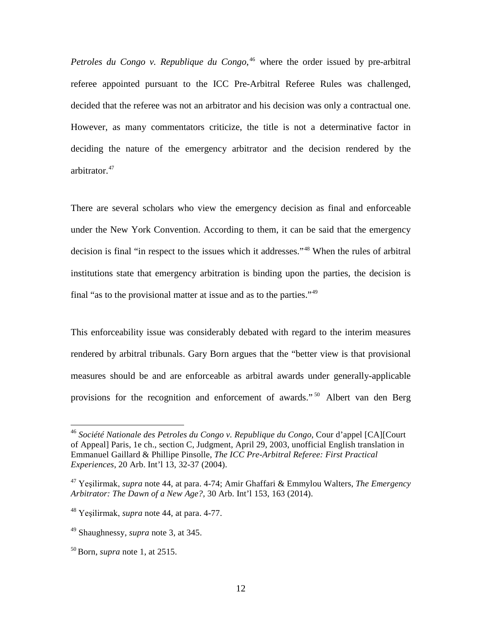*Petroles du Congo v. Republique du Congo*, [46](#page-14-0) where the order issued by pre-arbitral referee appointed pursuant to the ICC Pre-Arbitral Referee Rules was challenged, decided that the referee was not an arbitrator and his decision was only a contractual one. However, as many commentators criticize, the title is not a determinative factor in deciding the nature of the emergency arbitrator and the decision rendered by the arbitrator. [47](#page-14-1)

There are several scholars who view the emergency decision as final and enforceable under the New York Convention. According to them, it can be said that the emergency decision is final "in respect to the issues which it addresses."[48](#page-14-2) When the rules of arbitral institutions state that emergency arbitration is binding upon the parties, the decision is final "as to the provisional matter at issue and as to the parties."[49](#page-14-3)

This enforceability issue was considerably debated with regard to the interim measures rendered by arbitral tribunals. Gary Born argues that the "better view is that provisional measures should be and are enforceable as arbitral awards under generally-applicable provisions for the recognition and enforcement of awards." [50](#page-14-4) Albert van den Berg

<span id="page-14-0"></span><sup>46</sup> *Société Nationale des Petroles du Congo v. Republique du Congo*, Cour d'appel [CA][Court of Appeal] Paris, 1e ch., section C, Judgment, April 29, 2003, unofficial English translation in Emmanuel Gaillard & Phillipe Pinsolle, *The ICC Pre-Arbitral Referee: First Practical Experiences*, 20 Arb. Int'l 13, 32-37 (2004).

<span id="page-14-1"></span><sup>47</sup> Yeşilirmak, *supra* note 44, at para. 4-74; Amir Ghaffari & Emmylou Walters, *The Emergency Arbitrator: The Dawn of a New Age?,* 30 Arb. Int'l 153, 163 (2014).

<span id="page-14-2"></span><sup>48</sup> Yeşilirmak, *supra* note 44, at para. 4-77.

<span id="page-14-3"></span><sup>49</sup> Shaughnessy, *supra* note 3, at 345.

<span id="page-14-4"></span><sup>50</sup> Born, *supra* note 1, at 2515.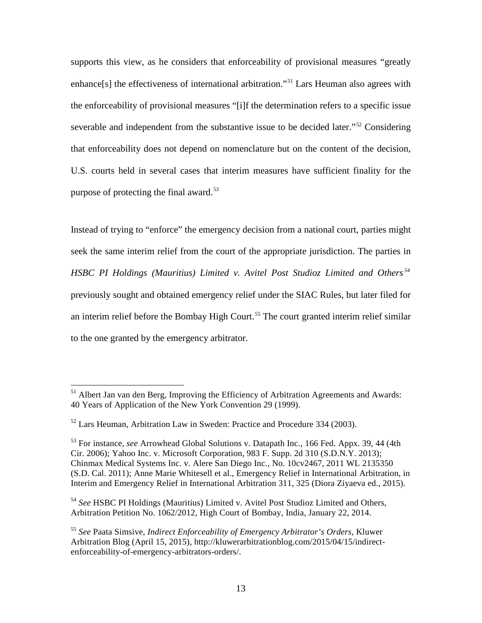supports this view, as he considers that enforceability of provisional measures "greatly enhance[s] the effectiveness of international arbitration."[51](#page-15-0) Lars Heuman also agrees with the enforceability of provisional measures "[i]f the determination refers to a specific issue severable and independent from the substantive issue to be decided later."<sup>[52](#page-15-1)</sup> Considering that enforceability does not depend on nomenclature but on the content of the decision, U.S. courts held in several cases that interim measures have sufficient finality for the purpose of protecting the final award.<sup>[53](#page-15-2)</sup>

Instead of trying to "enforce" the emergency decision from a national court, parties might seek the same interim relief from the court of the appropriate jurisdiction. The parties in *HSBC PI Holdings (Mauritius) Limited v. Avitel Post Studioz Limited and Others [54](#page-15-3)* previously sought and obtained emergency relief under the SIAC Rules, but later filed for an interim relief before the Bombay High Court. [55](#page-15-4) The court granted interim relief similar to the one granted by the emergency arbitrator.

<span id="page-15-0"></span><sup>&</sup>lt;sup>51</sup> Albert Jan van den Berg, Improving the Efficiency of Arbitration Agreements and Awards: 40 Years of Application of the New York Convention 29 (1999).

<span id="page-15-1"></span> $52$  Lars Heuman, Arbitration Law in Sweden: Practice and Procedure 334 (2003).

<span id="page-15-2"></span><sup>53</sup> For instance, *see* Arrowhead Global Solutions v. Datapath Inc., 166 Fed. Appx. 39, 44 (4th Cir. 2006); Yahoo Inc. v. Microsoft Corporation, 983 F. Supp. 2d 310 (S.D.N.Y. 2013); Chinmax Medical Systems Inc. v. Alere San Diego Inc., No. 10cv2467, 2011 WL 2135350 (S.D. Cal. 2011); Anne Marie Whitesell et al., Emergency Relief in International Arbitration, in Interim and Emergency Relief in International Arbitration 311, 325 (Diora Ziyaeva ed., 2015).

<span id="page-15-3"></span><sup>54</sup> *See* HSBC PI Holdings (Mauritius) Limited v. Avitel Post Studioz Limited and Others, Arbitration Petition No. 1062/2012, High Court of Bombay, India, January 22, 2014.

<span id="page-15-4"></span><sup>55</sup> *See* Paata Simsive, *Indirect Enforceability of Emergency Arbitrator's Orders*, Kluwer Arbitration Blog (April 15, 2015), http://kluwerarbitrationblog.com/2015/04/15/indirectenforceability-of-emergency-arbitrators-orders/.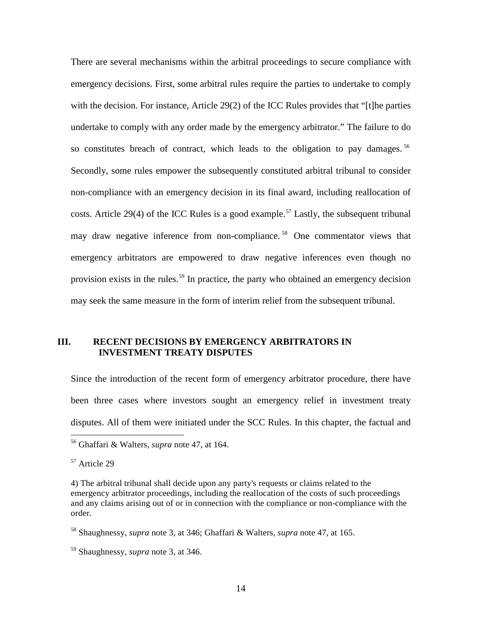There are several mechanisms within the arbitral proceedings to secure compliance with emergency decisions. First, some arbitral rules require the parties to undertake to comply with the decision. For instance, Article 29(2) of the ICC Rules provides that "[t]he parties undertake to comply with any order made by the emergency arbitrator." The failure to do so constitutes breach of contract, which leads to the obligation to pay damages.<sup>[56](#page-16-0)</sup> Secondly, some rules empower the subsequently constituted arbitral tribunal to consider non-compliance with an emergency decision in its final award, including reallocation of costs. Article 29(4) of the ICC Rules is a good example.<sup>[57](#page-16-1)</sup> Lastly, the subsequent tribunal may draw negative inference from non-compliance.<sup>[58](#page-16-2)</sup> One commentator views that emergency arbitrators are empowered to draw negative inferences even though no provision exists in the rules.<sup>[59](#page-16-3)</sup> In practice, the party who obtained an emergency decision may seek the same measure in the form of interim relief from the subsequent tribunal.

## **III. RECENT DECISIONS BY EMERGENCY ARBITRATORS IN INVESTMENT TREATY DISPUTES**

Since the introduction of the recent form of emergency arbitrator procedure, there have been three cases where investors sought an emergency relief in investment treaty disputes. All of them were initiated under the SCC Rules. In this chapter, the factual and

<span id="page-16-0"></span><sup>56</sup> Ghaffari & Walters, *supra* note 47, at 164.

<span id="page-16-1"></span><sup>57</sup> Article 29

<sup>4)</sup> The arbitral tribunal shall decide upon any party's requests or claims related to the emergency arbitrator proceedings, including the reallocation of the costs of such proceedings and any claims arising out of or in connection with the compliance or non-compliance with the order.

<span id="page-16-2"></span><sup>58</sup> Shaughnessy, *supra* note 3, at 346; Ghaffari & Walters, *supra* note 47, at 165.

<span id="page-16-3"></span><sup>59</sup> Shaughnessy, *supra* note 3, at 346.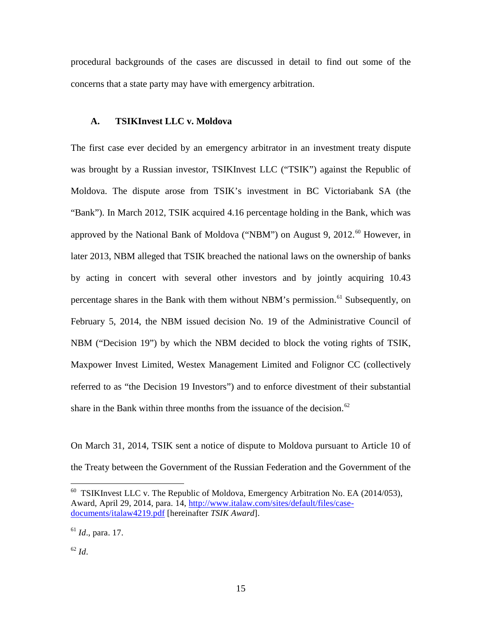procedural backgrounds of the cases are discussed in detail to find out some of the concerns that a state party may have with emergency arbitration.

## **A. TSIKInvest LLC v. Moldova**

The first case ever decided by an emergency arbitrator in an investment treaty dispute was brought by a Russian investor, TSIKInvest LLC ("TSIK") against the Republic of Moldova. The dispute arose from TSIK's investment in BC Victoriabank SA (the "Bank"). In March 2012, TSIK acquired 4.16 percentage holding in the Bank, which was approved by the National Bank of Moldova ("NBM") on August 9, 2012.<sup>[60](#page-17-0)</sup> However, in later 2013, NBM alleged that TSIK breached the national laws on the ownership of banks by acting in concert with several other investors and by jointly acquiring 10.43 percentage shares in the Bank with them without NBM's permission.<sup>[61](#page-17-1)</sup> Subsequently, on February 5, 2014, the NBM issued decision No. 19 of the Administrative Council of NBM ("Decision 19") by which the NBM decided to block the voting rights of TSIK, Maxpower Invest Limited, Westex Management Limited and Folignor CC (collectively referred to as "the Decision 19 Investors") and to enforce divestment of their substantial share in the Bank within three months from the issuance of the decision.<sup>[62](#page-17-2)</sup>

On March 31, 2014, TSIK sent a notice of dispute to Moldova pursuant to Article 10 of the Treaty between the Government of the Russian Federation and the Government of the

<span id="page-17-0"></span> $60$  TSIKInvest LLC v. The Republic of Moldova, Emergency Arbitration No. EA (2014/053), Award, April 29, 2014, para. 14, [http://www.italaw.com/sites/default/files/case](http://www.italaw.com/sites/default/files/case-documents/italaw4219.pdf)[documents/italaw4219.pdf](http://www.italaw.com/sites/default/files/case-documents/italaw4219.pdf) [hereinafter *TSIK Award*].

<span id="page-17-1"></span><sup>61</sup> *Id*., para. 17.

<span id="page-17-2"></span><sup>62</sup> *Id*.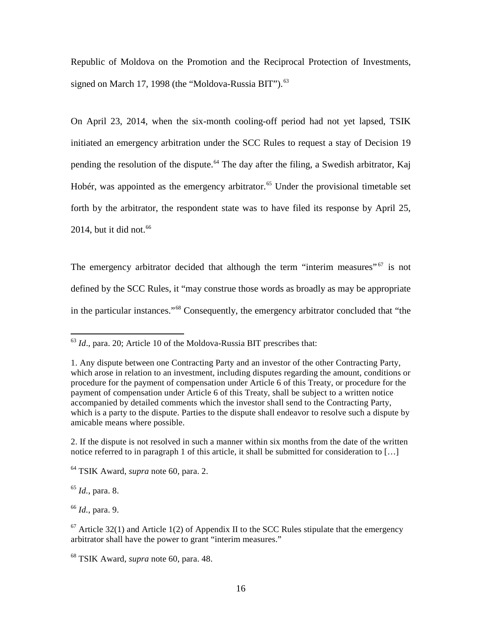Republic of Moldova on the Promotion and the Reciprocal Protection of Investments, signed on March 17, 1998 (the "Moldova-Russia BIT").<sup>[63](#page-18-0)</sup>

On April 23, 2014, when the six-month cooling-off period had not yet lapsed, TSIK initiated an emergency arbitration under the SCC Rules to request a stay of Decision 19 pending the resolution of the dispute.<sup>[64](#page-18-1)</sup> The day after the filing, a Swedish arbitrator, Kaj Hobér, was appointed as the emergency arbitrator.<sup>[65](#page-18-2)</sup> Under the provisional timetable set forth by the arbitrator, the respondent state was to have filed its response by April 25, 2014, but it did not. $66$ 

The emergency arbitrator decided that although the term "interim measures"  $67$  is not defined by the SCC Rules, it "may construe those words as broadly as may be appropriate in the particular instances."[68](#page-18-5) Consequently, the emergency arbitrator concluded that "the

<span id="page-18-2"></span><sup>65</sup> *Id.*, para. 8.

<span id="page-18-3"></span><sup>66</sup> *Id.*, para. 9.

<span id="page-18-0"></span><sup>&</sup>lt;sup>63</sup> *Id.*, para. 20; Article 10 of the Moldova-Russia BIT prescribes that:

<sup>1.</sup> Any dispute between one Contracting Party and an investor of the other Contracting Party, which arose in relation to an investment, including disputes regarding the amount, conditions or procedure for the payment of compensation under Article 6 of this Treaty, or procedure for the payment of compensation under Article 6 of this Treaty, shall be subject to a written notice accompanied by detailed comments which the investor shall send to the Contracting Party, which is a party to the dispute. Parties to the dispute shall endeavor to resolve such a dispute by amicable means where possible.

<sup>2.</sup> If the dispute is not resolved in such a manner within six months from the date of the written notice referred to in paragraph 1 of this article, it shall be submitted for consideration to [...]

<span id="page-18-1"></span><sup>64</sup> TSIK Award, *supra* note 60, para. 2.

<span id="page-18-4"></span> $67$  Article 32(1) and Article 1(2) of Appendix II to the SCC Rules stipulate that the emergency arbitrator shall have the power to grant "interim measures."

<span id="page-18-5"></span><sup>68</sup> TSIK Award, *supra* note 60, para. 48.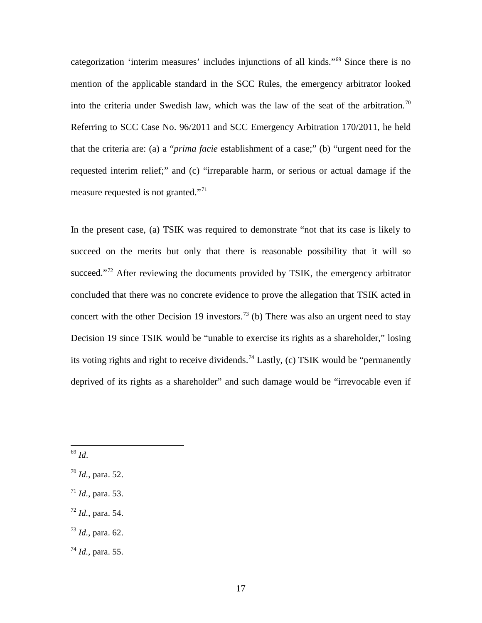categorization 'interim measures' includes injunctions of all kinds."[69](#page-19-0) Since there is no mention of the applicable standard in the SCC Rules, the emergency arbitrator looked into the criteria under Swedish law, which was the law of the seat of the arbitration.<sup>[70](#page-19-1)</sup> Referring to SCC Case No. 96/2011 and SCC Emergency Arbitration 170/2011, he held that the criteria are: (a) a "*prima facie* establishment of a case;" (b) "urgent need for the requested interim relief;" and (c) "irreparable harm, or serious or actual damage if the measure requested is not granted."[71](#page-19-2)

In the present case, (a) TSIK was required to demonstrate "not that its case is likely to succeed on the merits but only that there is reasonable possibility that it will so succeed."<sup>[72](#page-19-3)</sup> After reviewing the documents provided by TSIK, the emergency arbitrator concluded that there was no concrete evidence to prove the allegation that TSIK acted in concert with the other Decision 19 investors.<sup>[73](#page-19-4)</sup> (b) There was also an urgent need to stay Decision 19 since TSIK would be "unable to exercise its rights as a shareholder," losing its voting rights and right to receive dividends.<sup>[74](#page-19-5)</sup> Lastly, (c) TSIK would be "permanently deprived of its rights as a shareholder" and such damage would be "irrevocable even if

<span id="page-19-0"></span> $\overline{a}$ <sup>69</sup> *Id*.

- <span id="page-19-2"></span><sup>71</sup> *Id.*, para. 53.
- <span id="page-19-3"></span><sup>72</sup> *Id.*, para. 54.
- <span id="page-19-4"></span><sup>73</sup> *Id.*, para. 62.
- <span id="page-19-5"></span><sup>74</sup> *Id.*, para. 55.

<span id="page-19-1"></span><sup>70</sup> *Id.*, para. 52.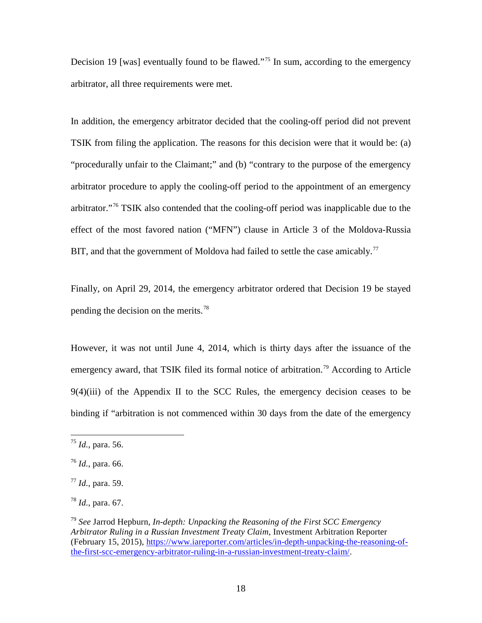Decision 19 [was] eventually found to be flawed."<sup>[75](#page-20-0)</sup> In sum, according to the emergency arbitrator, all three requirements were met.

In addition, the emergency arbitrator decided that the cooling-off period did not prevent TSIK from filing the application. The reasons for this decision were that it would be: (a) "procedurally unfair to the Claimant;" and (b) "contrary to the purpose of the emergency arbitrator procedure to apply the cooling-off period to the appointment of an emergency arbitrator."[76](#page-20-1) TSIK also contended that the cooling-off period was inapplicable due to the effect of the most favored nation ("MFN") clause in Article 3 of the Moldova-Russia BIT, and that the government of Moldova had failed to settle the case amicably.<sup>[77](#page-20-2)</sup>

Finally, on April 29, 2014, the emergency arbitrator ordered that Decision 19 be stayed pending the decision on the merits.[78](#page-20-3)

However, it was not until June 4, 2014, which is thirty days after the issuance of the emergency award, that TSIK filed its formal notice of arbitration.<sup>[79](#page-20-4)</sup> According to Article 9(4)(iii) of the Appendix II to the SCC Rules, the emergency decision ceases to be binding if "arbitration is not commenced within 30 days from the date of the emergency

<span id="page-20-0"></span><sup>75</sup> *Id.*, para. 56.

<span id="page-20-1"></span><sup>76</sup> *Id.*, para. 66.

<span id="page-20-2"></span><sup>77</sup> *Id.*, para. 59.

<span id="page-20-3"></span><sup>78</sup> *Id.*, para. 67.

<span id="page-20-4"></span><sup>79</sup> *See* Jarrod Hepburn, *In-depth: Unpacking the Reasoning of the First SCC Emergency Arbitrator Ruling in a Russian Investment Treaty Claim*, Investment Arbitration Reporter (February 15, 2015), [https://www.iareporter.com/articles/in-depth-unpacking-the-reasoning-of](https://www.iareporter.com/articles/in-depth-unpacking-the-reasoning-of-the-first-scc-emergency-arbitrator-ruling-in-a-russian-investment-treaty-claim/)[the-first-scc-emergency-arbitrator-ruling-in-a-russian-investment-treaty-claim/.](https://www.iareporter.com/articles/in-depth-unpacking-the-reasoning-of-the-first-scc-emergency-arbitrator-ruling-in-a-russian-investment-treaty-claim/)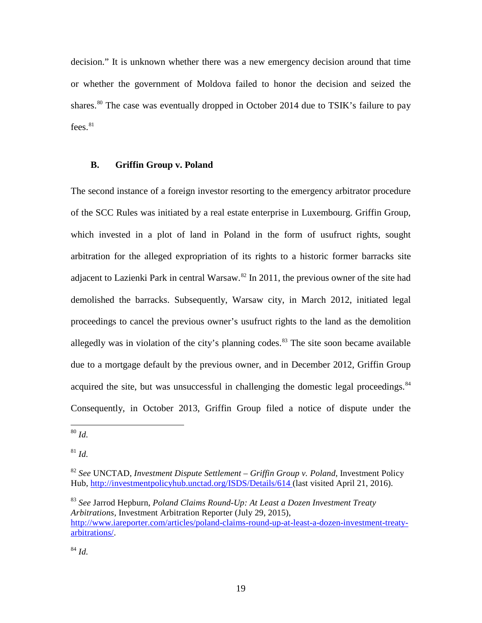decision." It is unknown whether there was a new emergency decision around that time or whether the government of Moldova failed to honor the decision and seized the shares.<sup>[80](#page-21-0)</sup> The case was eventually dropped in October 2014 due to TSIK's failure to pay fees. $81$ 

## **B. Griffin Group v. Poland**

The second instance of a foreign investor resorting to the emergency arbitrator procedure of the SCC Rules was initiated by a real estate enterprise in Luxembourg. Griffin Group, which invested in a plot of land in Poland in the form of usufruct rights, sought arbitration for the alleged expropriation of its rights to a historic former barracks site adjacent to Lazienki Park in central Warsaw.<sup>[82](#page-21-2)</sup> In 2011, the previous owner of the site had demolished the barracks. Subsequently, Warsaw city, in March 2012, initiated legal proceedings to cancel the previous owner's usufruct rights to the land as the demolition allegedly was in violation of the city's planning codes.<sup>[83](#page-21-3)</sup> The site soon became available due to a mortgage default by the previous owner, and in December 2012, Griffin Group acquired the site, but was unsuccessful in challenging the domestic legal proceedings. $84$ Consequently, in October 2013, Griffin Group filed a notice of dispute under the

<span id="page-21-0"></span>80 *Id.*

<span id="page-21-1"></span><sup>81</sup> *Id.*

<span id="page-21-2"></span><sup>82</sup> *See* UNCTAD, *Investment Dispute Settlement – Griffin Group v. Poland*, Investment Policy Hub,<http://investmentpolicyhub.unctad.org/ISDS/Details/614> (last visited April 21, 2016).

<span id="page-21-3"></span><sup>83</sup> *See* Jarrod Hepburn, *Poland Claims Round-Up: At Least a Dozen Investment Treaty Arbitrations*, Investment Arbitration Reporter (July 29, 2015), [http://www.iareporter.com/articles/poland-claims-round-up-at-least-a-dozen-investment-treaty](http://www.iareporter.com/articles/poland-claims-round-up-at-least-a-dozen-investment-treaty-arbitrations/)[arbitrations/.](http://www.iareporter.com/articles/poland-claims-round-up-at-least-a-dozen-investment-treaty-arbitrations/)

<span id="page-21-4"></span><sup>84</sup> *Id.*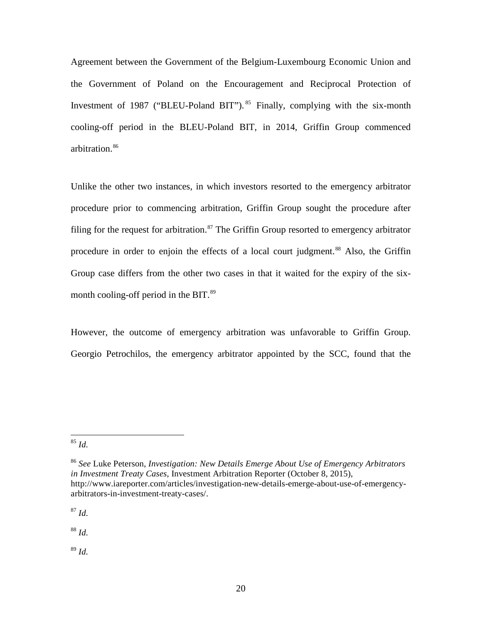Agreement between the Government of the Belgium-Luxembourg Economic Union and the Government of Poland on the Encouragement and Reciprocal Protection of Investment of 1987 ("BLEU-Poland BIT"). [85](#page-22-0) Finally, complying with the six-month cooling-off period in the BLEU-Poland BIT, in 2014, Griffin Group commenced arbitration.<sup>[86](#page-22-1)</sup>

Unlike the other two instances, in which investors resorted to the emergency arbitrator procedure prior to commencing arbitration, Griffin Group sought the procedure after filing for the request for arbitration.<sup>[87](#page-22-2)</sup> The Griffin Group resorted to emergency arbitrator procedure in order to enjoin the effects of a local court judgment.<sup>[88](#page-22-3)</sup> Also, the Griffin Group case differs from the other two cases in that it waited for the expiry of the six-month cooling-off period in the BIT.<sup>[89](#page-22-4)</sup>

However, the outcome of emergency arbitration was unfavorable to Griffin Group. Georgio Petrochilos, the emergency arbitrator appointed by the SCC, found that the

<span id="page-22-2"></span><sup>87</sup> *Id.*

<span id="page-22-3"></span><sup>88</sup> *Id.*

<span id="page-22-4"></span><sup>89</sup> *Id.* 

<span id="page-22-0"></span>85 *Id.*

<span id="page-22-1"></span><sup>86</sup> *See* Luke Peterson, *Investigation: New Details Emerge About Use of Emergency Arbitrators in Investment Treaty Cases*, Investment Arbitration Reporter (October 8, 2015), http://www.iareporter.com/articles/investigation-new-details-emerge-about-use-of-emergencyarbitrators-in-investment-treaty-cases/.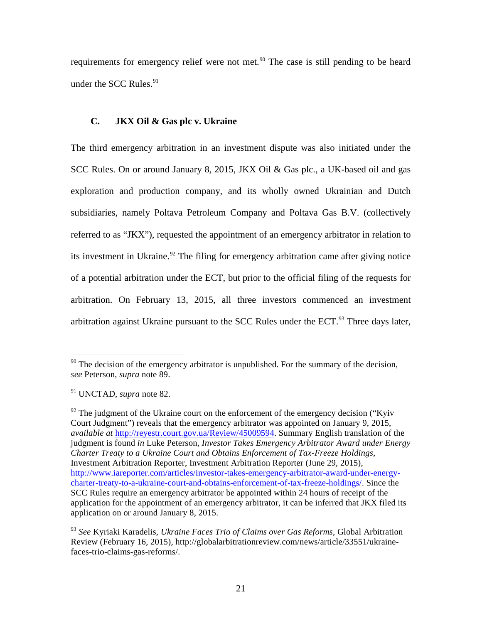requirements for emergency relief were not met.<sup>[90](#page-23-0)</sup> The case is still pending to be heard under the SCC Rules. $91$ 

## **C. JKX Oil & Gas plc v. Ukraine**

The third emergency arbitration in an investment dispute was also initiated under the SCC Rules. On or around January 8, 2015, JKX Oil & Gas plc., a UK-based oil and gas exploration and production company, and its wholly owned Ukrainian and Dutch subsidiaries, namely Poltava Petroleum Company and Poltava Gas B.V. (collectively referred to as "JKX"), requested the appointment of an emergency arbitrator in relation to its investment in Ukraine.<sup>[92](#page-23-2)</sup> The filing for emergency arbitration came after giving notice of a potential arbitration under the ECT, but prior to the official filing of the requests for arbitration. On February 13, 2015, all three investors commenced an investment arbitration against Ukraine pursuant to the SCC Rules under the ECT.<sup>[93](#page-23-3)</sup> Three days later,

<span id="page-23-0"></span> $90$  The decision of the emergency arbitrator is unpublished. For the summary of the decision, *see* Peterson, *supra* note 89.

<span id="page-23-1"></span><sup>91</sup> UNCTAD, *supra* note 82.

<span id="page-23-2"></span> $92$  The judgment of the Ukraine court on the enforcement of the emergency decision ("Kyiv") Court Judgment") reveals that the emergency arbitrator was appointed on January 9, 2015, *available at* [http://reyestr.court.gov.ua/Review/45009594.](http://reyestr.court.gov.ua/Review/45009594) Summary English translation of the judgment is found *in* Luke Peterson, *Investor Takes Emergency Arbitrator Award under Energy Charter Treaty to a Ukraine Court and Obtains Enforcement of Tax-Freeze Holdings*, Investment Arbitration Reporter, Investment Arbitration Reporter (June 29, 2015), [http://www.iareporter.com/articles/investor-takes-emergency-arbitrator-award-under-energy](http://www.iareporter.com/articles/investor-takes-emergency-arbitrator-award-under-energy-charter-treaty-to-a-ukraine-court-and-obtains-enforcement-of-tax-freeze-holdings/)[charter-treaty-to-a-ukraine-court-and-obtains-enforcement-of-tax-freeze-holdings/.](http://www.iareporter.com/articles/investor-takes-emergency-arbitrator-award-under-energy-charter-treaty-to-a-ukraine-court-and-obtains-enforcement-of-tax-freeze-holdings/) Since the SCC Rules require an emergency arbitrator be appointed within 24 hours of receipt of the application for the appointment of an emergency arbitrator, it can be inferred that JKX filed its application on or around January 8, 2015.

<span id="page-23-3"></span><sup>93</sup> *See* Kyriaki Karadelis, *Ukraine Faces Trio of Claims over Gas Reforms*, Global Arbitration Review (February 16, 2015), http://globalarbitrationreview.com/news/article/33551/ukrainefaces-trio-claims-gas-reforms/.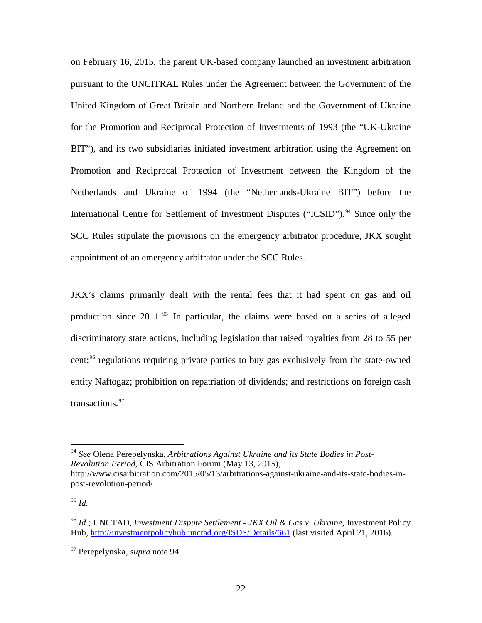on February 16, 2015, the parent UK-based company launched an investment arbitration pursuant to the UNCITRAL Rules under the Agreement between the Government of the United Kingdom of Great Britain and Northern Ireland and the Government of Ukraine for the Promotion and Reciprocal Protection of Investments of 1993 (the "UK-Ukraine BIT"), and its two subsidiaries initiated investment arbitration using the Agreement on Promotion and Reciprocal Protection of Investment between the Kingdom of the Netherlands and Ukraine of 1994 (the "Netherlands-Ukraine BIT") before the International Centre for Settlement of Investment Disputes ("ICSID").<sup>[94](#page-24-0)</sup> Since only the SCC Rules stipulate the provisions on the emergency arbitrator procedure, JKX sought appointment of an emergency arbitrator under the SCC Rules.

JKX's claims primarily dealt with the rental fees that it had spent on gas and oil production since  $2011$ <sup>[95](#page-24-1)</sup>. In particular, the claims were based on a series of alleged discriminatory state actions, including legislation that raised royalties from 28 to 55 per cent;<sup>[96](#page-24-2)</sup> regulations requiring private parties to buy gas exclusively from the state-owned entity Naftogaz; prohibition on repatriation of dividends; and restrictions on foreign cash transactions.<sup>[97](#page-24-3)</sup>

<span id="page-24-1"></span><sup>95</sup> *Id.*

<span id="page-24-0"></span><sup>94</sup> *See* Olena Perepelynska, *Arbitrations Against Ukraine and its State Bodies in Post-Revolution Period,* CIS Arbitration Forum (May 13, 2015), http://www.cisarbitration.com/2015/05/13/arbitrations-against-ukraine-and-its-state-bodies-inpost-revolution-period/.

<span id="page-24-2"></span><sup>96</sup> *Id.*; UNCTAD, *Investment Dispute Settlement - JKX Oil & Gas v. Ukraine*, Investment Policy Hub,<http://investmentpolicyhub.unctad.org/ISDS/Details/661> (last visited April 21, 2016).

<span id="page-24-3"></span><sup>97</sup> Perepelynska, *supra* note 94.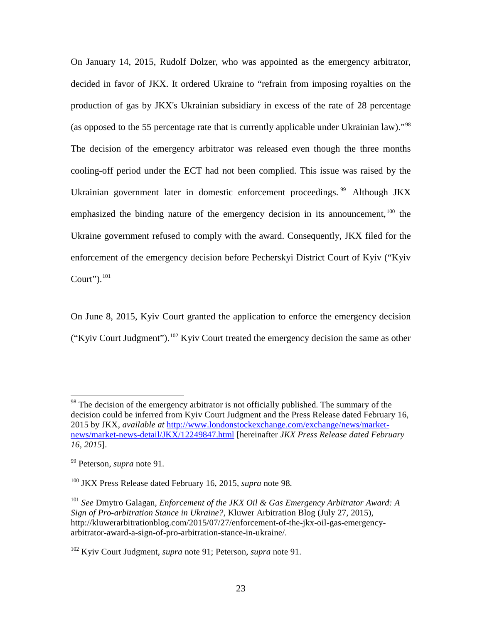On January 14, 2015, Rudolf Dolzer, who was appointed as the emergency arbitrator, decided in favor of JKX. It ordered Ukraine to "refrain from imposing royalties on the production of gas by JKX's Ukrainian subsidiary in excess of the rate of 28 percentage (as opposed to the 55 percentage rate that is currently applicable under Ukrainian law)."[98](#page-25-0) The decision of the emergency arbitrator was released even though the three months cooling-off period under the ECT had not been complied. This issue was raised by the Ukrainian government later in domestic enforcement proceedings.<sup>[99](#page-25-1)</sup> Although JKX emphasized the binding nature of the emergency decision in its announcement,<sup>[100](#page-25-2)</sup> the Ukraine government refused to comply with the award. Consequently, JKX filed for the enforcement of the emergency decision before Pecherskyi District Court of Kyiv ("Kyiv Court"). $^{101}$  $^{101}$  $^{101}$ 

On June 8, 2015, Kyiv Court granted the application to enforce the emergency decision ("Kyiv Court Judgment").<sup>[102](#page-25-4)</sup> Kyiv Court treated the emergency decision the same as other

<span id="page-25-0"></span><sup>&</sup>lt;sup>98</sup> The decision of the emergency arbitrator is not officially published. The summary of the decision could be inferred from Kyiv Court Judgment and the Press Release dated February 16, 2015 by JKX, *available at* [http://www.londonstockexchange.com/exchange/news/market](http://www.londonstockexchange.com/exchange/news/market-news/market-news-detail/JKX/12249847.html)[news/market-news-detail/JKX/12249847.html](http://www.londonstockexchange.com/exchange/news/market-news/market-news-detail/JKX/12249847.html) [hereinafter *JKX Press Release dated February 16, 2015*].

<span id="page-25-1"></span><sup>99</sup> Peterson, *supra* note 91.

<span id="page-25-2"></span><sup>100</sup> JKX Press Release dated February 16, 2015, *supra* note 98.

<span id="page-25-3"></span><sup>101</sup> *See* Dmytro Galagan, *Enforcement of the JKX Oil & Gas Emergency Arbitrator Award: A Sign of Pro-arbitration Stance in Ukraine?,* Kluwer Arbitration Blog (July 27, 2015), http://kluwerarbitrationblog.com/2015/07/27/enforcement-of-the-jkx-oil-gas-emergencyarbitrator-award-a-sign-of-pro-arbitration-stance-in-ukraine/.

<span id="page-25-4"></span><sup>102</sup> Kyiv Court Judgment, *supra* note 91; Peterson, *supra* note 91.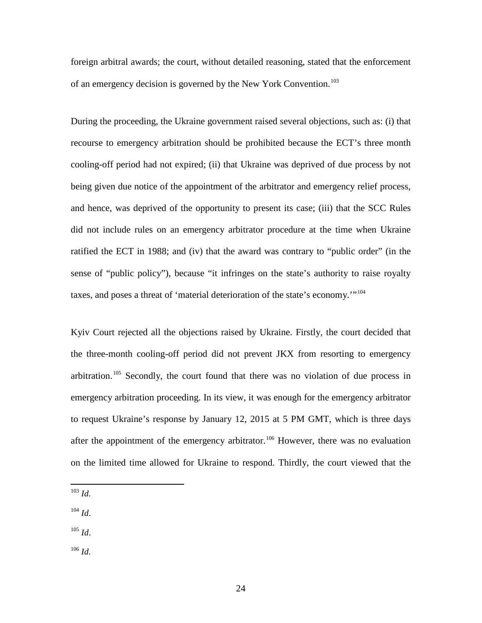foreign arbitral awards; the court, without detailed reasoning, stated that the enforcement of an emergency decision is governed by the New York Convention.<sup>[103](#page-26-0)</sup>

During the proceeding, the Ukraine government raised several objections, such as: (i) that recourse to emergency arbitration should be prohibited because the ECT's three month cooling-off period had not expired; (ii) that Ukraine was deprived of due process by not being given due notice of the appointment of the arbitrator and emergency relief process, and hence, was deprived of the opportunity to present its case; (iii) that the SCC Rules did not include rules on an emergency arbitrator procedure at the time when Ukraine ratified the ECT in 1988; and (iv) that the award was contrary to "public order" (in the sense of "public policy"), because "it infringes on the state's authority to raise royalty taxes, and poses a threat of 'material deterioration of the state's economy.'"[104](#page-26-1)

Kyiv Court rejected all the objections raised by Ukraine. Firstly, the court decided that the three-month cooling-off period did not prevent JKX from resorting to emergency arbitration.<sup>[105](#page-26-2)</sup> Secondly, the court found that there was no violation of due process in emergency arbitration proceeding. In its view, it was enough for the emergency arbitrator to request Ukraine's response by January 12, 2015 at 5 PM GMT, which is three days after the appointment of the emergency arbitrator.<sup>[106](#page-26-3)</sup> However, there was no evaluation on the limited time allowed for Ukraine to respond. Thirdly, the court viewed that the

- <span id="page-26-0"></span><sup>103</sup> *Id.*
- <span id="page-26-1"></span> $104$  *Id.*
- <span id="page-26-2"></span><sup>105</sup> *Id*.
- <span id="page-26-3"></span><sup>106</sup> *Id.*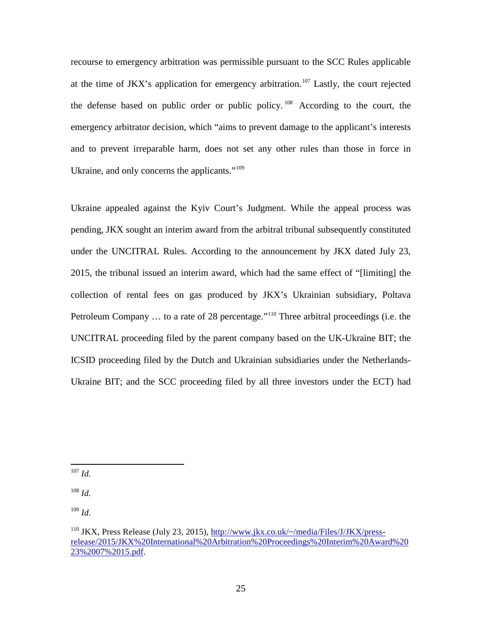recourse to emergency arbitration was permissible pursuant to the SCC Rules applicable at the time of JKX's application for emergency arbitration.<sup>[107](#page-27-0)</sup> Lastly, the court rejected the defense based on public order or public policy. [108](#page-27-1) According to the court, the emergency arbitrator decision, which "aims to prevent damage to the applicant's interests and to prevent irreparable harm, does not set any other rules than those in force in Ukraine, and only concerns the applicants."<sup>[109](#page-27-2)</sup>

Ukraine appealed against the Kyiv Court's Judgment. While the appeal process was pending, JKX sought an interim award from the arbitral tribunal subsequently constituted under the UNCITRAL Rules. According to the announcement by JKX dated July 23, 2015, the tribunal issued an interim award, which had the same effect of "[limiting] the collection of rental fees on gas produced by JKX's Ukrainian subsidiary, Poltava Petroleum Company ... to a rate of 28 percentage."<sup>[110](#page-27-3)</sup> Three arbitral proceedings (i.e. the UNCITRAL proceeding filed by the parent company based on the UK-Ukraine BIT; the ICSID proceeding filed by the Dutch and Ukrainian subsidiaries under the Netherlands-Ukraine BIT; and the SCC proceeding filed by all three investors under the ECT) had

 $\overline{a}$ 

<span id="page-27-1"></span><sup>108</sup> *Id.*

<span id="page-27-2"></span><sup>109</sup> *Id.*

<span id="page-27-0"></span><sup>107</sup> *Id.*

<span id="page-27-3"></span><sup>&</sup>lt;sup>110</sup> JKX, Press Release (July 23, 2015), [http://www.jkx.co.uk/~/media/Files/J/JKX/press](http://www.jkx.co.uk/~/media/Files/J/JKX/press-release/2015/JKX%20International%20Arbitration%20Proceedings%20Interim%20Award%2023%2007%2015.pdf)[release/2015/JKX%20International%20Arbitration%20Proceedings%20Interim%20Award%20](http://www.jkx.co.uk/~/media/Files/J/JKX/press-release/2015/JKX%20International%20Arbitration%20Proceedings%20Interim%20Award%2023%2007%2015.pdf) [23%2007%2015.pdf.](http://www.jkx.co.uk/~/media/Files/J/JKX/press-release/2015/JKX%20International%20Arbitration%20Proceedings%20Interim%20Award%2023%2007%2015.pdf)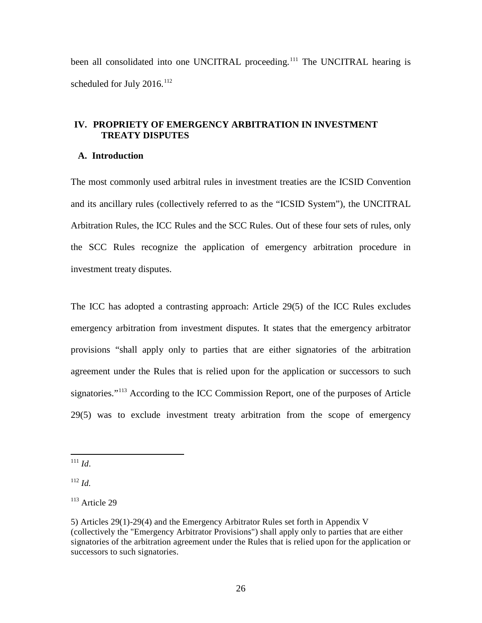been all consolidated into one UNCITRAL proceeding.<sup>[111](#page-28-0)</sup> The UNCITRAL hearing is scheduled for July 2016.<sup>[112](#page-28-1)</sup>

## **IV. PROPRIETY OF EMERGENCY ARBITRATION IN INVESTMENT TREATY DISPUTES**

## **A. Introduction**

The most commonly used arbitral rules in investment treaties are the ICSID Convention and its ancillary rules (collectively referred to as the "ICSID System"), the UNCITRAL Arbitration Rules, the ICC Rules and the SCC Rules. Out of these four sets of rules, only the SCC Rules recognize the application of emergency arbitration procedure in investment treaty disputes.

The ICC has adopted a contrasting approach: Article 29(5) of the ICC Rules excludes emergency arbitration from investment disputes. It states that the emergency arbitrator provisions "shall apply only to parties that are either signatories of the arbitration agreement under the Rules that is relied upon for the application or successors to such signatories."<sup>[113](#page-28-2)</sup> According to the ICC Commission Report, one of the purposes of Article 29(5) was to exclude investment treaty arbitration from the scope of emergency

<span id="page-28-1"></span><sup>112</sup> *Id.*

<span id="page-28-0"></span><sup>111</sup> *Id*.

<span id="page-28-2"></span><sup>&</sup>lt;sup>113</sup> Article 29

<sup>5)</sup> Articles 29(1)-29(4) and the Emergency Arbitrator Rules set forth in Appendix V (collectively the "Emergency Arbitrator Provisions") shall apply only to parties that are either signatories of the arbitration agreement under the Rules that is relied upon for the application or successors to such signatories.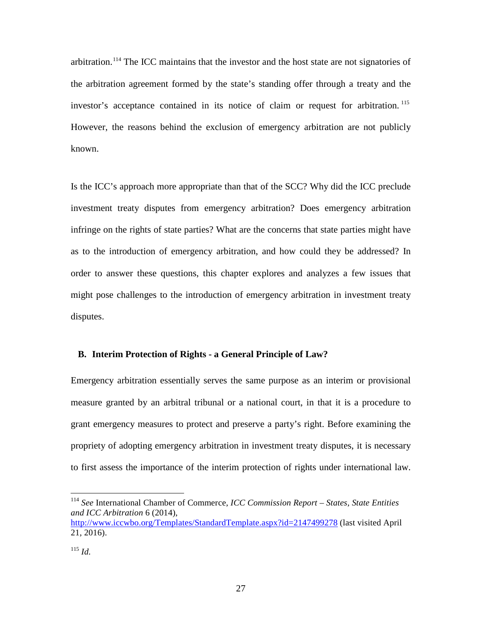arbitration.<sup>[114](#page-29-0)</sup> The ICC maintains that the investor and the host state are not signatories of the arbitration agreement formed by the state's standing offer through a treaty and the investor's acceptance contained in its notice of claim or request for arbitration.<sup>[115](#page-29-1)</sup> However, the reasons behind the exclusion of emergency arbitration are not publicly known.

Is the ICC's approach more appropriate than that of the SCC? Why did the ICC preclude investment treaty disputes from emergency arbitration? Does emergency arbitration infringe on the rights of state parties? What are the concerns that state parties might have as to the introduction of emergency arbitration, and how could they be addressed? In order to answer these questions, this chapter explores and analyzes a few issues that might pose challenges to the introduction of emergency arbitration in investment treaty disputes.

## **B. Interim Protection of Rights - a General Principle of Law?**

Emergency arbitration essentially serves the same purpose as an interim or provisional measure granted by an arbitral tribunal or a national court, in that it is a procedure to grant emergency measures to protect and preserve a party's right. Before examining the propriety of adopting emergency arbitration in investment treaty disputes, it is necessary to first assess the importance of the interim protection of rights under international law.

<span id="page-29-0"></span><sup>114</sup> *See* International Chamber of Commerce, *ICC Commission Report – States, State Entities and ICC Arbitration* 6 (2014),

<http://www.iccwbo.org/Templates/StandardTemplate.aspx?id=2147499278> (last visited April 21, 2016).

<span id="page-29-1"></span><sup>115</sup> *Id.*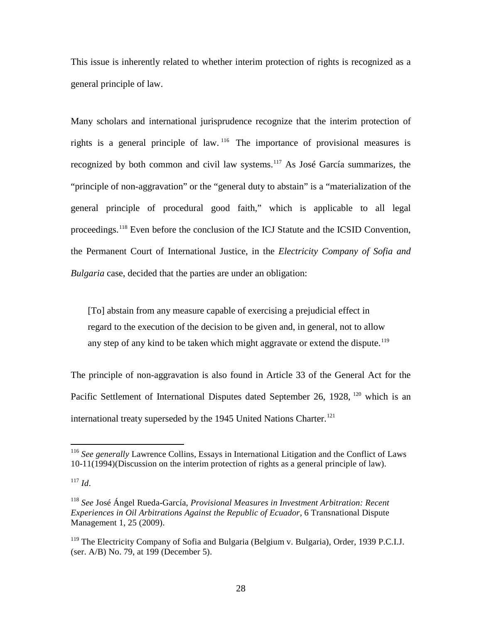This issue is inherently related to whether interim protection of rights is recognized as a general principle of law.

Many scholars and international jurisprudence recognize that the interim protection of rights is a general principle of law. [116](#page-30-0) The importance of provisional measures is recognized by both common and civil law systems.<sup>[117](#page-30-1)</sup> As José García summarizes, the "principle of non-aggravation" or the "general duty to abstain" is a "materialization of the general principle of procedural good faith," which is applicable to all legal proceedings.<sup>[118](#page-30-2)</sup> Even before the conclusion of the ICJ Statute and the ICSID Convention, the Permanent Court of International Justice, in the *Electricity Company of Sofia and Bulgaria* case, decided that the parties are under an obligation:

[To] abstain from any measure capable of exercising a prejudicial effect in regard to the execution of the decision to be given and, in general, not to allow any step of any kind to be taken which might aggravate or extend the dispute.<sup>[119](#page-30-3)</sup>

<span id="page-30-4"></span>The principle of non-aggravation is also found in Article 33 of the General Act for the Pacific Settlement of International Disputes dated September 26, 1928, <sup>[120](#page-30-4)</sup> which is an international treaty superseded by the 1945 United Nations Charter.<sup>[121](#page-30-5)</sup>

<span id="page-30-0"></span><sup>116</sup> *See generally* Lawrence Collins, Essays in International Litigation and the Conflict of Laws 10-11(1994)(Discussion on the interim protection of rights as a general principle of law).

<span id="page-30-5"></span><span id="page-30-1"></span><sup>117</sup> *Id*.

<span id="page-30-2"></span><sup>118</sup> *See* José Ángel Rueda-García, *Provisional Measures in Investment Arbitration: Recent Experiences in Oil Arbitrations Against the Republic of Ecuador,* 6 Transnational Dispute Management 1, 25 (2009).

<span id="page-30-3"></span><sup>&</sup>lt;sup>119</sup> The Electricity Company of Sofia and Bulgaria (Belgium v. Bulgaria), Order, 1939 P.C.I.J. (ser. A/B) No. 79, at 199 (December 5).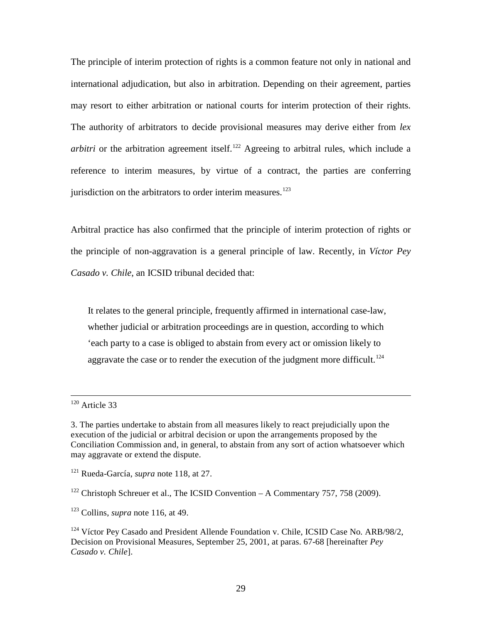The principle of interim protection of rights is a common feature not only in national and international adjudication, but also in arbitration. Depending on their agreement, parties may resort to either arbitration or national courts for interim protection of their rights. The authority of arbitrators to decide provisional measures may derive either from *lex arbitri* or the arbitration agreement itself.<sup>[122](#page-31-0)</sup> Agreeing to arbitral rules, which include a reference to interim measures, by virtue of a contract, the parties are conferring jurisdiction on the arbitrators to order interim measures.<sup>[123](#page-31-1)</sup>

Arbitral practice has also confirmed that the principle of interim protection of rights or the principle of non-aggravation is a general principle of law. Recently, in *Víctor Pey Casado v. Chile*, an ICSID tribunal decided that:

It relates to the general principle, frequently affirmed in international case-law, whether judicial or arbitration proceedings are in question, according to which 'each party to a case is obliged to abstain from every act or omission likely to aggravate the case or to render the execution of the judgment more difficult.<sup>[124](#page-31-2)</sup>

 $\overline{a}$ 

 $120$  Article 33

<sup>3.</sup> The parties undertake to abstain from all measures likely to react prejudicially upon the execution of the judicial or arbitral decision or upon the arrangements proposed by the Conciliation Commission and, in general, to abstain from any sort of action whatsoever which may aggravate or extend the dispute.

<sup>121</sup> Rueda-García, *supra* note 118, at 27.

<span id="page-31-0"></span> $122$  Christoph Schreuer et al., The ICSID Convention – A Commentary 757, 758 (2009).

<span id="page-31-1"></span><sup>123</sup> Collins, *supra* note 116, at 49.

<span id="page-31-2"></span><sup>&</sup>lt;sup>124</sup> Víctor Pey Casado and President Allende Foundation v. Chile, ICSID Case No. ARB/98/2, Decision on Provisional Measures, September 25, 2001, at paras. 67-68 [hereinafter *Pey Casado v. Chile*].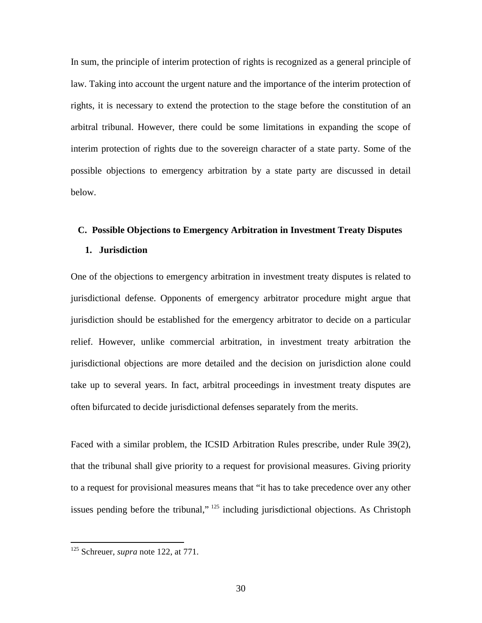In sum, the principle of interim protection of rights is recognized as a general principle of law. Taking into account the urgent nature and the importance of the interim protection of rights, it is necessary to extend the protection to the stage before the constitution of an arbitral tribunal. However, there could be some limitations in expanding the scope of interim protection of rights due to the sovereign character of a state party. Some of the possible objections to emergency arbitration by a state party are discussed in detail below.

#### **C. Possible Objections to Emergency Arbitration in Investment Treaty Disputes**

#### **1. Jurisdiction**

One of the objections to emergency arbitration in investment treaty disputes is related to jurisdictional defense. Opponents of emergency arbitrator procedure might argue that jurisdiction should be established for the emergency arbitrator to decide on a particular relief. However, unlike commercial arbitration, in investment treaty arbitration the jurisdictional objections are more detailed and the decision on jurisdiction alone could take up to several years. In fact, arbitral proceedings in investment treaty disputes are often bifurcated to decide jurisdictional defenses separately from the merits.

Faced with a similar problem, the ICSID Arbitration Rules prescribe, under Rule 39(2), that the tribunal shall give priority to a request for provisional measures. Giving priority to a request for provisional measures means that "it has to take precedence over any other issues pending before the tribunal," <sup>[125](#page-32-0)</sup> including jurisdictional objections. As Christoph

<span id="page-32-0"></span><sup>125</sup> Schreuer, *supra* note 122, at 771.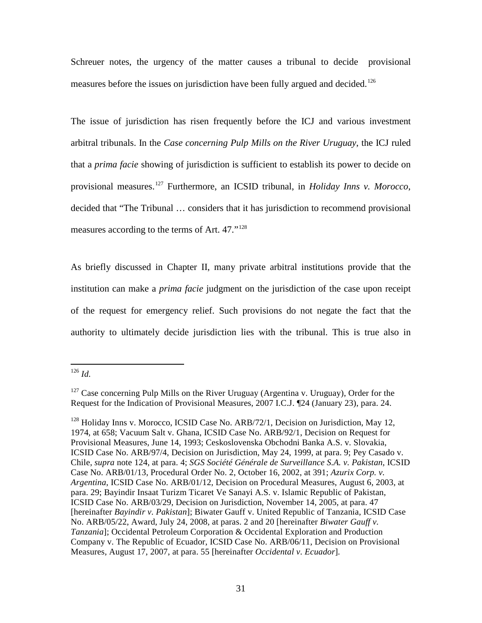Schreuer notes, the urgency of the matter causes a tribunal to decide provisional measures before the issues on jurisdiction have been fully argued and decided.<sup>[126](#page-33-0)</sup>

The issue of jurisdiction has risen frequently before the ICJ and various investment arbitral tribunals. In the *Case concerning Pulp Mills on the River Uruguay*, the ICJ ruled that a *prima facie* showing of jurisdiction is sufficient to establish its power to decide on provisional measures.[127](#page-33-1) Furthermore, an ICSID tribunal, in *Holiday Inns v. Morocco*, decided that "The Tribunal … considers that it has jurisdiction to recommend provisional measures according to the terms of Art. 47."[128](#page-33-2)

As briefly discussed in Chapter II, many private arbitral institutions provide that the institution can make a *prima facie* judgment on the jurisdiction of the case upon receipt of the request for emergency relief. Such provisions do not negate the fact that the authority to ultimately decide jurisdiction lies with the tribunal. This is true also in

<span id="page-33-0"></span><sup>126</sup> *Id.*

<span id="page-33-1"></span> $127$  Case concerning Pulp Mills on the River Uruguay (Argentina v. Uruguay), Order for the Request for the Indication of Provisional Measures, 2007 I.C.J. ¶24 (January 23), para. 24.

<span id="page-33-2"></span> $128$  Holiday Inns v. Morocco, ICSID Case No. ARB/72/1, Decision on Jurisdiction, May 12, 1974, at 658; Vacuum Salt v. Ghana, ICSID Case No. ARB/92/1, Decision on Request for Provisional Measures, June 14, 1993; Ceskoslovenska Obchodni Banka A.S. v. Slovakia, ICSID Case No. ARB/97/4, Decision on Jurisdiction, May 24, 1999, at para. 9; Pey Casado v. Chile, *supra* note 124, at para. 4; *SGS Société Générale de Surveillance S.A. v. Pakistan*, ICSID Case No. ARB/01/13, Procedural Order No. 2, October 16, 2002, at 391; *Azurix Corp. v. Argentina*, ICSID Case No. ARB/01/12, Decision on Procedural Measures, August 6, 2003, at para. 29; Bayindir Insaat Turizm Ticaret Ve Sanayi A.S. v. Islamic Republic of Pakistan, ICSID Case No. ARB/03/29, [Decision on Jurisdiction,](http://www.italaw.com/sites/default/files/case-documents/ita0074.pdf) November 14, 2005, at para. 47 [hereinafter *Bayindir v. Pakistan*]; Biwater Gauff v. United Republic of Tanzania, ICSID Case No. ARB/05/22, [Award,](http://www.italaw.com/sites/default/files/case-documents/ita0095.pdf) July 24, 2008, at paras. 2 and 20 [hereinafter *Biwater Gauff v. Tanzania*]; Occidental Petroleum Corporation & Occidental Exploration and Production Company v. The Republic of Ecuador, ICSID Case No. ARB/06/11, Decision on Provisional Measures, August 17, 2007, at para. 55 [hereinafter *Occidental v. Ecuador*]*.*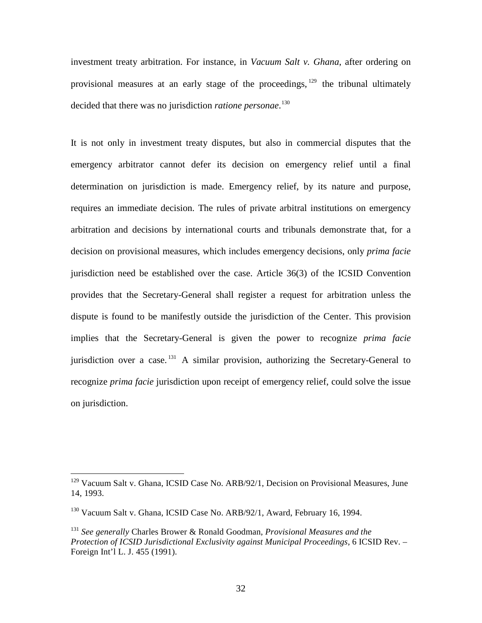investment treaty arbitration. For instance, in *Vacuum Salt v. Ghana*, after ordering on provisional measures at an early stage of the proceedings,  $129$  the tribunal ultimately decided that there was no jurisdiction *ratione personae*. [130](#page-34-1)

It is not only in investment treaty disputes, but also in commercial disputes that the emergency arbitrator cannot defer its decision on emergency relief until a final determination on jurisdiction is made. Emergency relief, by its nature and purpose, requires an immediate decision. The rules of private arbitral institutions on emergency arbitration and decisions by international courts and tribunals demonstrate that, for a decision on provisional measures, which includes emergency decisions, only *prima facie* jurisdiction need be established over the case. Article 36(3) of the ICSID Convention provides that the Secretary-General shall register a request for arbitration unless the dispute is found to be manifestly outside the jurisdiction of the Center. This provision implies that the Secretary-General is given the power to recognize *prima facie* jurisdiction over a case.<sup>[131](#page-34-2)</sup> A similar provision, authorizing the Secretary-General to recognize *prima facie* jurisdiction upon receipt of emergency relief, could solve the issue on jurisdiction.

 $\overline{a}$ 

<span id="page-34-0"></span><sup>&</sup>lt;sup>129</sup> Vacuum Salt v. Ghana, ICSID Case No. ARB/92/1, Decision on Provisional Measures, June 14, 1993.

<span id="page-34-1"></span><sup>&</sup>lt;sup>130</sup> Vacuum Salt v. Ghana, ICSID Case No. ARB/92/1, Award, February 16, 1994.

<span id="page-34-2"></span><sup>131</sup> *See generally* Charles Brower & Ronald Goodman, *Provisional Measures and the Protection of ICSID Jurisdictional Exclusivity against Municipal Proceedings*, 6 ICSID Rev. – Foreign Int'l L. J. 455 (1991).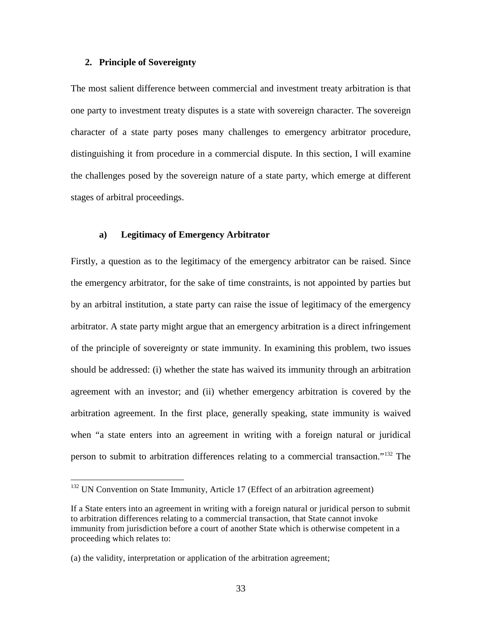## **2. Principle of Sovereignty**

The most salient difference between commercial and investment treaty arbitration is that one party to investment treaty disputes is a state with sovereign character. The sovereign character of a state party poses many challenges to emergency arbitrator procedure, distinguishing it from procedure in a commercial dispute. In this section, I will examine the challenges posed by the sovereign nature of a state party, which emerge at different stages of arbitral proceedings.

#### **a) Legitimacy of Emergency Arbitrator**

Firstly, a question as to the legitimacy of the emergency arbitrator can be raised. Since the emergency arbitrator, for the sake of time constraints, is not appointed by parties but by an arbitral institution, a state party can raise the issue of legitimacy of the emergency arbitrator. A state party might argue that an emergency arbitration is a direct infringement of the principle of sovereignty or state immunity. In examining this problem, two issues should be addressed: (i) whether the state has waived its immunity through an arbitration agreement with an investor; and (ii) whether emergency arbitration is covered by the arbitration agreement. In the first place, generally speaking, state immunity is waived when "a state enters into an agreement in writing with a foreign natural or juridical person to submit to arbitration differences relating to a commercial transaction."[132](#page-35-0) The

<span id="page-35-0"></span> $132$  UN Convention on State Immunity, Article 17 (Effect of an arbitration agreement)

If a State enters into an agreement in writing with a foreign natural or juridical person to submit to arbitration differences relating to a commercial transaction, that State cannot invoke immunity from jurisdiction before a court of another State which is otherwise competent in a proceeding which relates to:

<sup>(</sup>a) the validity, interpretation or application of the arbitration agreement;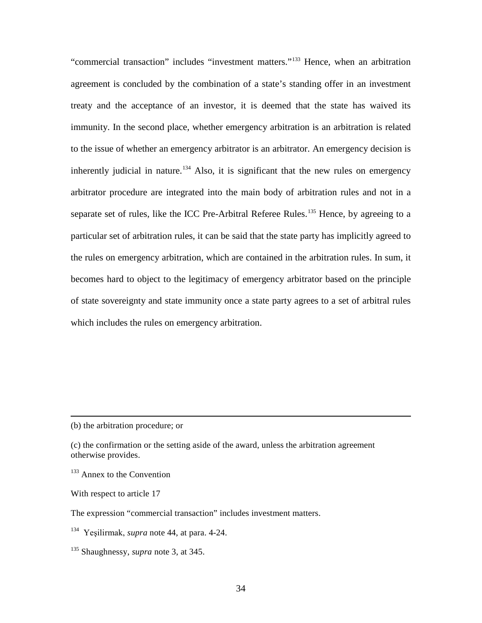"commercial transaction" includes "investment matters."[133](#page-36-0) Hence, when an arbitration agreement is concluded by the combination of a state's standing offer in an investment treaty and the acceptance of an investor, it is deemed that the state has waived its immunity. In the second place, whether emergency arbitration is an arbitration is related to the issue of whether an emergency arbitrator is an arbitrator. An emergency decision is inherently judicial in nature.<sup>[134](#page-36-1)</sup> Also, it is significant that the new rules on emergency arbitrator procedure are integrated into the main body of arbitration rules and not in a separate set of rules, like the ICC Pre-Arbitral Referee Rules.<sup>[135](#page-36-2)</sup> Hence, by agreeing to a particular set of arbitration rules, it can be said that the state party has implicitly agreed to the rules on emergency arbitration, which are contained in the arbitration rules. In sum, it becomes hard to object to the legitimacy of emergency arbitrator based on the principle of state sovereignty and state immunity once a state party agrees to a set of arbitral rules which includes the rules on emergency arbitration.

 $\overline{a}$ 

<sup>(</sup>b) the arbitration procedure; or

<sup>(</sup>c) the confirmation or the setting aside of the award, unless the arbitration agreement otherwise provides.

<span id="page-36-0"></span><sup>&</sup>lt;sup>133</sup> Annex to the Convention

With respect to article 17

The expression "commercial transaction" includes investment matters.

<span id="page-36-1"></span><sup>134</sup> Yeşilirmak, *supra* note 44, at para. 4-24.

<span id="page-36-2"></span><sup>135</sup> Shaughnessy, *supra* note 3, at 345.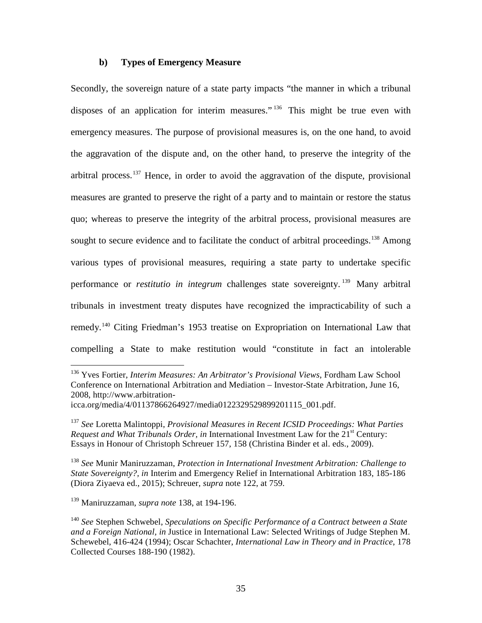## **b) Types of Emergency Measure**

Secondly, the sovereign nature of a state party impacts "the manner in which a tribunal disposes of an application for interim measures."<sup>[136](#page-37-0)</sup> This might be true even with emergency measures. The purpose of provisional measures is, on the one hand, to avoid the aggravation of the dispute and, on the other hand, to preserve the integrity of the arbitral process.<sup>[137](#page-37-1)</sup> Hence, in order to avoid the aggravation of the dispute, provisional measures are granted to preserve the right of a party and to maintain or restore the status quo; whereas to preserve the integrity of the arbitral process, provisional measures are sought to secure evidence and to facilitate the conduct of arbitral proceedings.<sup>[138](#page-37-2)</sup> Among various types of provisional measures, requiring a state party to undertake specific performance or *restitutio in integrum* challenges state sovereignty. [139](#page-37-3) Many arbitral tribunals in investment treaty disputes have recognized the impracticability of such a remedy.<sup>[140](#page-37-4)</sup> Citing Friedman's 1953 treatise on Expropriation on International Law that compelling a State to make restitution would "constitute in fact an intolerable

<span id="page-37-0"></span><sup>136</sup> Yves Fortier, *Interim Measures: An Arbitrator's Provisional Views*, Fordham Law School Conference on International Arbitration and Mediation – Investor-State Arbitration, June 16, 2008, http://www.arbitration-

icca.org/media/4/01137866264927/media0122329529899201115\_001.pdf.

<span id="page-37-1"></span><sup>137</sup> *See* Loretta Malintoppi, *Provisional Measures in Recent ICSID Proceedings: What Parties Request and What Tribunals Order, in* International Investment Law for the 21<sup>st</sup> Century: Essays in Honour of Christoph Schreuer 157, 158 (Christina Binder et al. eds., 2009).

<span id="page-37-2"></span><sup>138</sup> *See* Munir Maniruzzaman, *Protection in International Investment Arbitration: Challenge to State Sovereignty?, in* Interim and Emergency Relief in International Arbitration 183, 185-186 (Diora Ziyaeva ed., 2015); Schreuer, *supra* note 122, at 759.

<span id="page-37-3"></span><sup>139</sup> Maniruzzaman, *supra note* 138, at 194-196.

<span id="page-37-4"></span><sup>140</sup> *See* Stephen Schwebel, *Speculations on Specific Performance of a Contract between a State and a Foreign National, in* Justice in International Law: Selected Writings of Judge Stephen M. Schewebel, 416-424 (1994); Oscar Schachter, *International Law in Theory and in Practice*, 178 Collected Courses 188-190 (1982).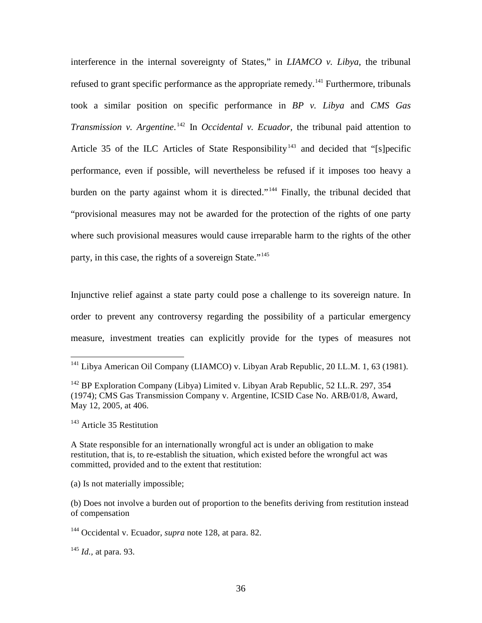interference in the internal sovereignty of States," in *LIAMCO v. Libya*, the tribunal refused to grant specific performance as the appropriate remedy.<sup>[141](#page-38-0)</sup> Furthermore, tribunals took a similar position on specific performance in *BP v. Libya* and *CMS Gas Transmission v. Argentine*. [142](#page-38-1) In *Occidental v. Ecuador,* the tribunal paid attention to Article 35 of the ILC Articles of State Responsibility<sup>[143](#page-38-2)</sup> and decided that "[s]pecific performance, even if possible, will nevertheless be refused if it imposes too heavy a burden on the party against whom it is directed."<sup>[144](#page-38-3)</sup> Finally, the tribunal decided that "provisional measures may not be awarded for the protection of the rights of one party where such provisional measures would cause irreparable harm to the rights of the other party, in this case, the rights of a sovereign State."<sup>[145](#page-38-4)</sup>

Injunctive relief against a state party could pose a challenge to its sovereign nature. In order to prevent any controversy regarding the possibility of a particular emergency measure, investment treaties can explicitly provide for the types of measures not

<span id="page-38-2"></span><sup>143</sup> Article 35 Restitution

<span id="page-38-4"></span><sup>145</sup> *Id.,* at para. 93.

<span id="page-38-0"></span><sup>141</sup> Libya American Oil Company (LIAMCO) v. Libyan Arab Republic, 20 I.L.M. 1, 63 (1981).

<span id="page-38-1"></span> $142$  BP Exploration Company (Libya) Limited v. Libyan Arab Republic, 52 I.L.R. 297, 354 (1974); CMS Gas Transmission Company v. Argentine, ICSID Case No. ARB/01/8, Award, May 12, 2005, at 406.

A State responsible for an internationally wrongful act is under an obligation to make restitution, that is, to re-establish the situation, which existed before the wrongful act was committed, provided and to the extent that restitution:

<sup>(</sup>a) Is not materially impossible;

<sup>(</sup>b) Does not involve a burden out of proportion to the benefits deriving from restitution instead of compensation

<span id="page-38-3"></span><sup>144</sup> Occidental v. Ecuador, *supra* note 128, at para. 82.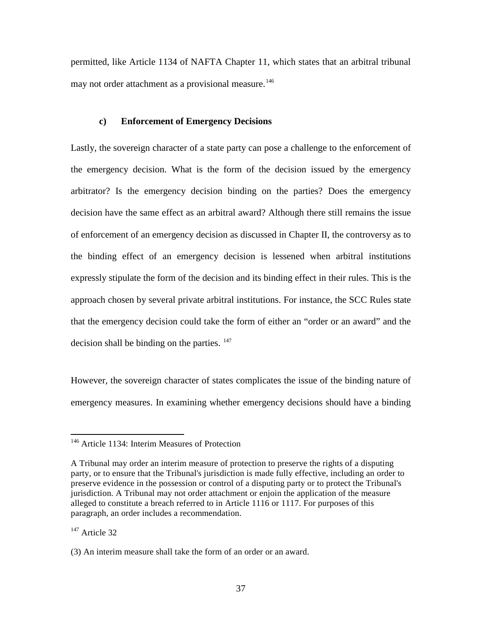permitted, like Article 1134 of NAFTA Chapter 11, which states that an arbitral tribunal may not order attachment as a provisional measure. [146](#page-39-0)

## **c) Enforcement of Emergency Decisions**

Lastly, the sovereign character of a state party can pose a challenge to the enforcement of the emergency decision. What is the form of the decision issued by the emergency arbitrator? Is the emergency decision binding on the parties? Does the emergency decision have the same effect as an arbitral award? Although there still remains the issue of enforcement of an emergency decision as discussed in Chapter II, the controversy as to the binding effect of an emergency decision is lessened when arbitral institutions expressly stipulate the form of the decision and its binding effect in their rules. This is the approach chosen by several private arbitral institutions. For instance, the SCC Rules state that the emergency decision could take the form of either an "order or an award" and the decision shall be binding on the parties.  $147$ 

However, the sovereign character of states complicates the issue of the binding nature of emergency measures. In examining whether emergency decisions should have a binding

<span id="page-39-0"></span><sup>&</sup>lt;sup>146</sup> Article 1134: Interim Measures of Protection

A Tribunal may order an interim measure of protection to preserve the rights of a disputing party, or to ensure that the Tribunal's jurisdiction is made fully effective, including an order to preserve evidence in the possession or control of a disputing party or to protect the Tribunal's jurisdiction. A Tribunal may not order attachment or enjoin the application of the measure alleged to constitute a breach referred to in Article 1116 or 1117. For purposes of this paragraph, an order includes a recommendation.

<span id="page-39-1"></span><sup>&</sup>lt;sup>147</sup> Article 32

<sup>(3)</sup> An interim measure shall take the form of an order or an award.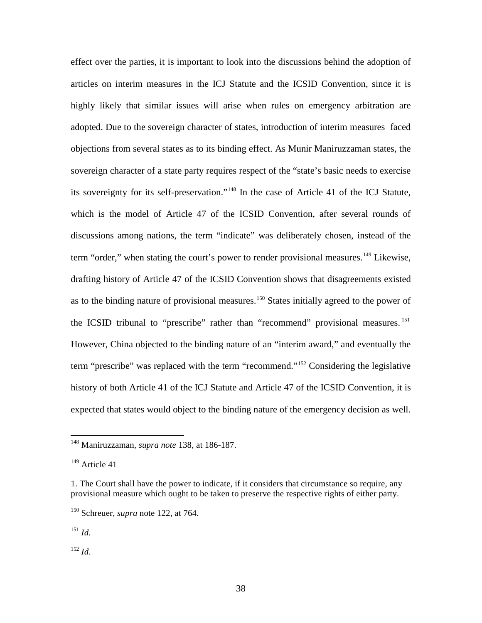effect over the parties, it is important to look into the discussions behind the adoption of articles on interim measures in the ICJ Statute and the ICSID Convention, since it is highly likely that similar issues will arise when rules on emergency arbitration are adopted. Due to the sovereign character of states, introduction of interim measures faced objections from several states as to its binding effect. As Munir Maniruzzaman states, the sovereign character of a state party requires respect of the "state's basic needs to exercise its sovereignty for its self-preservation."[148](#page-40-0) In the case of Article 41 of the ICJ Statute, which is the model of Article 47 of the ICSID Convention, after several rounds of discussions among nations, the term "indicate" was deliberately chosen, instead of the term "order," when stating the court's power to render provisional measures.<sup>[149](#page-40-1)</sup> Likewise, drafting history of Article 47 of the ICSID Convention shows that disagreements existed as to the binding nature of provisional measures.<sup>[150](#page-40-2)</sup> States initially agreed to the power of the ICSID tribunal to "prescribe" rather than "recommend" provisional measures.<sup>[151](#page-40-3)</sup> However, China objected to the binding nature of an "interim award," and eventually the term "prescribe" was replaced with the term "recommend."[152](#page-40-4) Considering the legislative history of both Article 41 of the ICJ Statute and Article 47 of the ICSID Convention, it is expected that states would object to the binding nature of the emergency decision as well.

<span id="page-40-4"></span><sup>152</sup> *Id*.

<span id="page-40-0"></span><sup>148</sup> Maniruzzaman, *supra note* 138, at 186-187.

<span id="page-40-1"></span><sup>&</sup>lt;sup>149</sup> Article 41

<sup>1.</sup> The Court shall have the power to indicate, if it considers that circumstance so require, any provisional measure which ought to be taken to preserve the respective rights of either party.

<span id="page-40-2"></span><sup>150</sup> Schreuer, *supra* note 122, at 764.

<span id="page-40-3"></span><sup>151</sup> *Id.*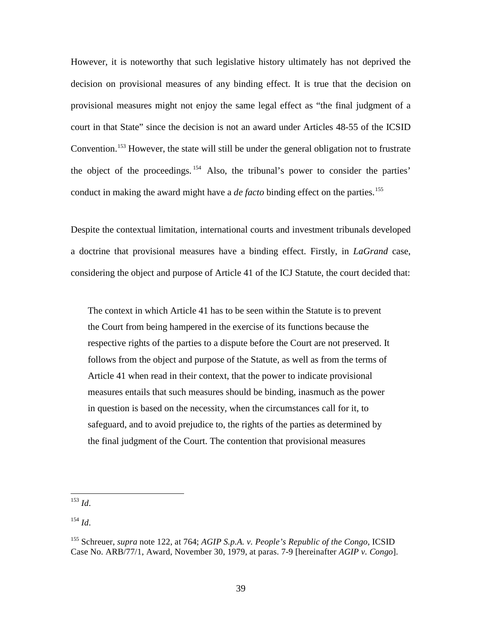However, it is noteworthy that such legislative history ultimately has not deprived the decision on provisional measures of any binding effect. It is true that the decision on provisional measures might not enjoy the same legal effect as "the final judgment of a court in that State" since the decision is not an award under Articles 48-55 of the ICSID Convention.<sup>[153](#page-41-0)</sup> However, the state will still be under the general obligation not to frustrate the object of the proceedings. [154](#page-41-1) Also, the tribunal's power to consider the parties' conduct in making the award might have a *de facto* binding effect on the parties. [155](#page-41-2)

Despite the contextual limitation, international courts and investment tribunals developed a doctrine that provisional measures have a binding effect. Firstly, in *LaGrand* case, considering the object and purpose of Article 41 of the ICJ Statute, the court decided that:

The context in which Article 41 has to be seen within the Statute is to prevent the Court from being hampered in the exercise of its functions because the respective rights of the parties to a dispute before the Court are not preserved. It follows from the object and purpose of the Statute, as well as from the terms of Article 41 when read in their context, that the power to indicate provisional measures entails that such measures should be binding, inasmuch as the power in question is based on the necessity, when the circumstances call for it, to safeguard, and to avoid prejudice to, the rights of the parties as determined by the final judgment of the Court. The contention that provisional measures

<span id="page-41-0"></span><sup>153</sup> *Id*.

<span id="page-41-1"></span> $154$  *Id.* 

<span id="page-41-2"></span><sup>155</sup> Schreuer, *supra* note 122, at 764; *AGIP S.p.A. v. People's Republic of the Congo*, ICSID Case No. ARB/77/1, Award, November 30, 1979, at paras. 7-9 [hereinafter *AGIP v. Congo*].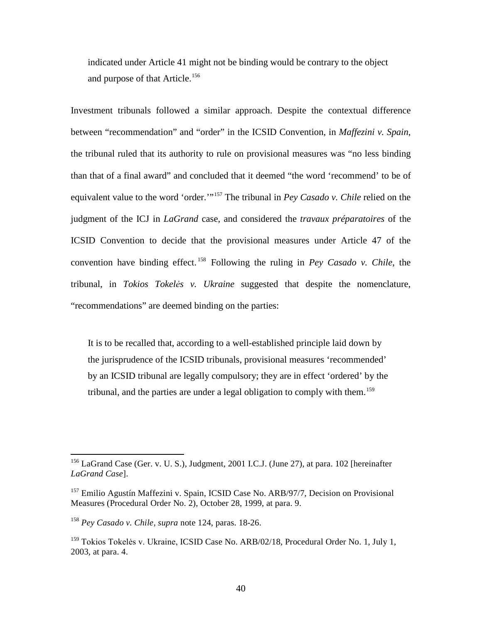indicated under Article 41 might not be binding would be contrary to the object and purpose of that Article.<sup>[156](#page-42-0)</sup>

Investment tribunals followed a similar approach. Despite the contextual difference between "recommendation" and "order" in the ICSID Convention, in *Maffezini v. Spain*, the tribunal ruled that its authority to rule on provisional measures was "no less binding than that of a final award" and concluded that it deemed "the word 'recommend' to be of equivalent value to the word 'order.'"[157](#page-42-1) The tribunal in *Pey Casado v. Chile* relied on the judgment of the ICJ in *LaGrand* case, and considered the *travaux préparatoires* of the ICSID Convention to decide that the provisional measures under Article 47 of the convention have binding effect. [158](#page-42-2) Following the ruling in *Pey Casado v. Chile*, the tribunal, in *Tokios Tokelės v. Ukraine* suggested that despite the nomenclature, "recommendations" are deemed binding on the parties:

It is to be recalled that, according to a well-established principle laid down by the jurisprudence of the ICSID tribunals, provisional measures 'recommended' by an ICSID tribunal are legally compulsory; they are in effect 'ordered' by the tribunal, and the parties are under a legal obligation to comply with them. [159](#page-42-3)

<span id="page-42-0"></span><sup>156</sup> LaGrand Case (Ger. v. U. S.), Judgment, 2001 I.C.J. (June 27), at para. 102 [hereinafter *LaGrand Case*].

<span id="page-42-1"></span><sup>&</sup>lt;sup>157</sup> Emilio Agustín Maffezini v. Spain, ICSID Case No. ARB/97/7, Decision on Provisional Measures (Procedural Order No. 2), October 28, 1999, at para. 9.

<span id="page-42-2"></span><sup>158</sup> *Pey Casado v. Chile, supra* note 124, paras. 18-26.

<span id="page-42-3"></span><sup>&</sup>lt;sup>159</sup> Tokios Tokelės v. Ukraine, ICSID Case No. ARB/02/18, Procedural Order No. 1, July 1, 2003, at para. 4.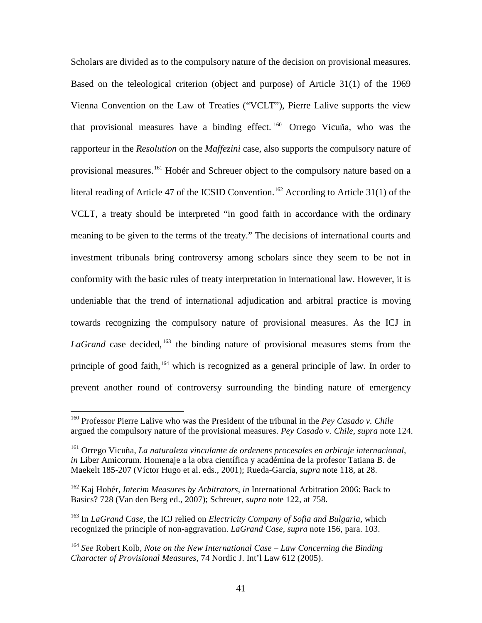Scholars are divided as to the compulsory nature of the decision on provisional measures. Based on the teleological criterion (object and purpose) of Article 31(1) of the 1969 Vienna Convention on the Law of Treaties ("VCLT"), Pierre Lalive supports the view that provisional measures have a binding effect.  $160$  Orrego Vicuña, who was the rapporteur in the *Resolution* on the *Maffezini* case, also supports the compulsory nature of provisional measures.<sup>[161](#page-43-1)</sup> Hobér and Schreuer object to the compulsory nature based on a literal reading of Article 47 of the ICSID Convention.<sup>[162](#page-43-2)</sup> According to Article 31(1) of the VCLT, a treaty should be interpreted "in good faith in accordance with the ordinary meaning to be given to the terms of the treaty." The decisions of international courts and investment tribunals bring controversy among scholars since they seem to be not in conformity with the basic rules of treaty interpretation in international law. However, it is undeniable that the trend of international adjudication and arbitral practice is moving towards recognizing the compulsory nature of provisional measures. As the ICJ in LaGrand case decided, <sup>[163](#page-43-3)</sup> the binding nature of provisional measures stems from the principle of good faith,<sup>[164](#page-43-4)</sup> which is recognized as a general principle of law. In order to prevent another round of controversy surrounding the binding nature of emergency

<span id="page-43-0"></span><sup>160</sup> Professor Pierre Lalive who was the President of the tribunal in the *Pey Casado v. Chile*  argued the compulsory nature of the provisional measures. *Pey Casado v. Chile, supra* note 124.

<span id="page-43-1"></span><sup>161</sup> Orrego Vicuña, *La naturaleza vinculante de ordenens procesales en arbiraje internacional, in* Liber Amicorum. Homenaje a la obra científica y académina de la profesor Tatiana B. de Maekelt 185-207 (Víctor Hugo et al. eds., 2001); Rueda-García, *supra* note 118, at 28.

<span id="page-43-2"></span><sup>162</sup> Kaj Hobér, *Interim Measures by Arbitrators*, *in* International Arbitration 2006: Back to Basics? 728 (Van den Berg ed., 2007); Schreuer, *supra* note 122, at 758.

<span id="page-43-3"></span><sup>163</sup> In *LaGrand Case*, the ICJ relied on *Electricity Company of Sofia and Bulgaria,* which recognized the principle of non-aggravation. *LaGrand Case, supra* note 156, para. 103.

<span id="page-43-4"></span><sup>164</sup> *See* Robert Kolb, *Note on the New International Case – Law Concerning the Binding Character of Provisional Measures,* 74 Nordic J. Int'l Law 612 (2005).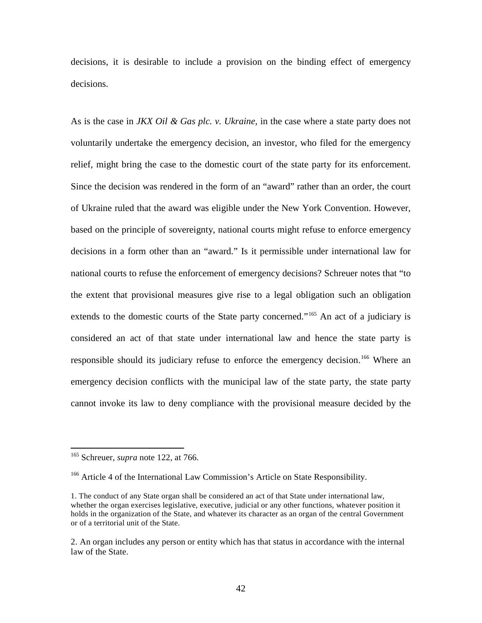decisions, it is desirable to include a provision on the binding effect of emergency decisions.

As is the case in *JKX Oil & Gas plc. v. Ukraine*, in the case where a state party does not voluntarily undertake the emergency decision, an investor, who filed for the emergency relief, might bring the case to the domestic court of the state party for its enforcement. Since the decision was rendered in the form of an "award" rather than an order, the court of Ukraine ruled that the award was eligible under the New York Convention. However, based on the principle of sovereignty, national courts might refuse to enforce emergency decisions in a form other than an "award." Is it permissible under international law for national courts to refuse the enforcement of emergency decisions? Schreuer notes that "to the extent that provisional measures give rise to a legal obligation such an obligation extends to the domestic courts of the State party concerned."<sup>[165](#page-44-0)</sup> An act of a judiciary is considered an act of that state under international law and hence the state party is responsible should its judiciary refuse to enforce the emergency decision.<sup>[166](#page-44-1)</sup> Where an emergency decision conflicts with the municipal law of the state party, the state party cannot invoke its law to deny compliance with the provisional measure decided by the

<span id="page-44-0"></span><sup>165</sup> Schreuer, *supra* note 122, at 766.

<span id="page-44-1"></span><sup>&</sup>lt;sup>166</sup> Article 4 of the International Law Commission's Article on State Responsibility.

<sup>1.</sup> The conduct of any State organ shall be considered an act of that State under international law, whether the organ exercises legislative, executive, judicial or any other functions, whatever position it holds in the organization of the State, and whatever its character as an organ of the central Government or of a territorial unit of the State.

<sup>2.</sup> An organ includes any person or entity which has that status in accordance with the internal law of the State.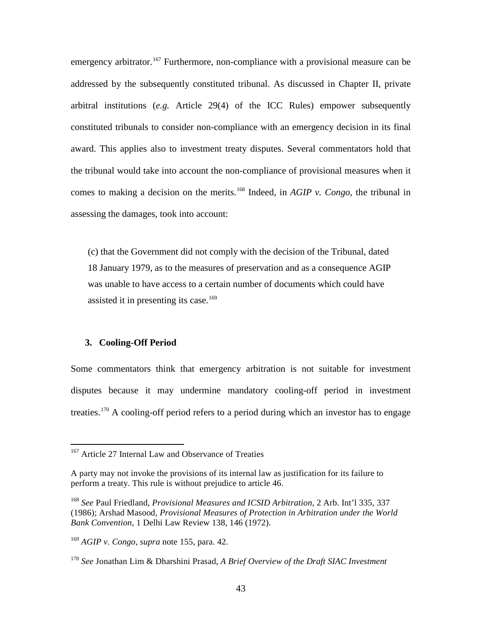emergency arbitrator.<sup>[167](#page-45-0)</sup> Furthermore, non-compliance with a provisional measure can be addressed by the subsequently constituted tribunal. As discussed in Chapter II, private arbitral institutions (*e.g.* Article 29(4) of the ICC Rules) empower subsequently constituted tribunals to consider non-compliance with an emergency decision in its final award. This applies also to investment treaty disputes. Several commentators hold that the tribunal would take into account the non-compliance of provisional measures when it comes to making a decision on the merits.[168](#page-45-1) Indeed, in *AGIP v. Congo*, the tribunal in assessing the damages, took into account:

(c) that the Government did not comply with the decision of the Tribunal, dated 18 January 1979, as to the measures of preservation and as a consequence AGIP was unable to have access to a certain number of documents which could have assisted it in presenting its case.<sup>[169](#page-45-2)</sup>

## **3. Cooling-Off Period**

Some commentators think that emergency arbitration is not suitable for investment disputes because it may undermine mandatory cooling-off period in investment treaties.[170](#page-45-3) A cooling-off period refers to a period during which an investor has to engage

<span id="page-45-0"></span><sup>&</sup>lt;sup>167</sup> Article 27 Internal Law and Observance of Treaties

A party may not invoke the provisions of its internal law as justification for its failure to perform a treaty. This rule is without prejudice to article 46.

<span id="page-45-1"></span><sup>168</sup> *See* Paul Friedland, *Provisional Measures and ICSID Arbitration*, 2 Arb. Int'l 335, 337 (1986); Arshad Masood, *Provisional Measures of Protection in Arbitration under the World Bank Convention*, 1 Delhi Law Review 138, 146 (1972).

<span id="page-45-2"></span><sup>169</sup> *AGIP v. Congo, supra* note 155, para. 42.

<span id="page-45-3"></span><sup>170</sup> *See* Jonathan Lim & Dharshini Prasad, *A Brief Overview of the Draft SIAC Investment*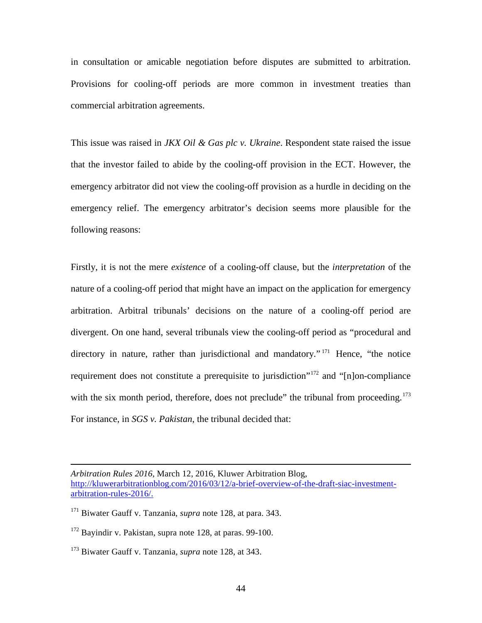in consultation or amicable negotiation before disputes are submitted to arbitration. Provisions for cooling-off periods are more common in investment treaties than commercial arbitration agreements.

This issue was raised in *JKX Oil & Gas plc v. Ukraine*. Respondent state raised the issue that the investor failed to abide by the cooling-off provision in the ECT. However, the emergency arbitrator did not view the cooling-off provision as a hurdle in deciding on the emergency relief. The emergency arbitrator's decision seems more plausible for the following reasons:

Firstly, it is not the mere *existence* of a cooling-off clause, but the *interpretation* of the nature of a cooling-off period that might have an impact on the application for emergency arbitration. Arbitral tribunals' decisions on the nature of a cooling-off period are divergent. On one hand, several tribunals view the cooling-off period as "procedural and directory in nature, rather than jurisdictional and mandatory."<sup>[171](#page-46-0)</sup> Hence, "the notice requirement does not constitute a prerequisite to jurisdiction"<sup>[172](#page-46-1)</sup> and "[n]on-compliance with the six month period, therefore, does not preclude" the tribunal from proceeding.<sup>[173](#page-46-2)</sup> For instance, in *SGS v. Pakistan*, the tribunal decided that:

 $\overline{a}$ 

*Arbitration Rules 2016*, March 12, 2016, Kluwer Arbitration Blog, [http://kluwerarbitrationblog.com/2016/03/12/a-brief-overview-of-the-draft-siac-investment](http://kluwerarbitrationblog.com/2016/03/12/a-brief-overview-of-the-draft-siac-investment-arbitration-rules-2016/)[arbitration-rules-2016/.](http://kluwerarbitrationblog.com/2016/03/12/a-brief-overview-of-the-draft-siac-investment-arbitration-rules-2016/)

<span id="page-46-0"></span><sup>&</sup>lt;sup>171</sup> Biwater Gauff v. Tanzania, *supra* note 128, at para. 343.

<span id="page-46-1"></span><sup>&</sup>lt;sup>172</sup> Bayindir v. Pakistan, supra note 128, at paras. 99-100.

<span id="page-46-2"></span><sup>173</sup> Biwater Gauff v. Tanzania*, supra* note 128, at 343.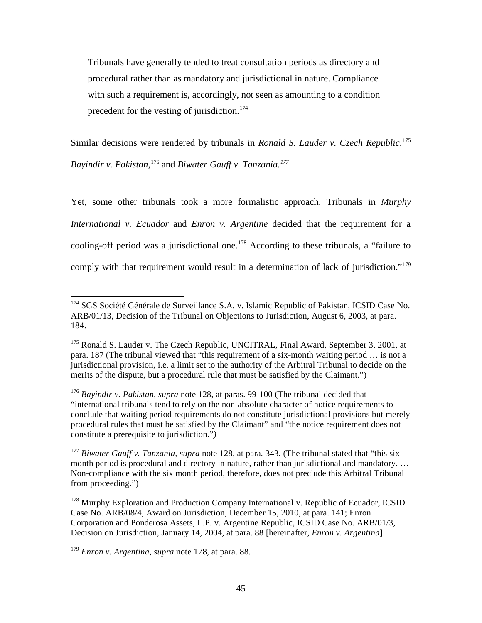Tribunals have generally tended to treat consultation periods as directory and procedural rather than as mandatory and jurisdictional in nature. Compliance with such a requirement is, accordingly, not seen as amounting to a condition precedent for the vesting of jurisdiction.<sup>[174](#page-47-0)</sup>

Similar decisions were rendered by tribunals in *Ronald S. Lauder v. Czech Republic*, [175](#page-47-1) *Bayindir v. Pakistan*, [176](#page-47-2) and *Biwater Gauff v. Tanzania. [177](#page-47-3)*

Yet, some other tribunals took a more formalistic approach. Tribunals in *Murphy International v. Ecuador* and *Enron v. Argentine* decided that the requirement for a cooling-off period was a jurisdictional one.<sup>[178](#page-47-4)</sup> According to these tribunals, a "failure to comply with that requirement would result in a determination of lack of jurisdiction."<sup>[179](#page-47-5)</sup>

<span id="page-47-0"></span><sup>&</sup>lt;sup>174</sup> SGS Société Générale de Surveillance S.A. v. Islamic Republic of Pakistan, ICSID Case No. ARB/01/13, [Decision of the Tribunal on Objections to Jurisdiction,](http://www.italaw.com/sites/default/files/case-documents/ita0779.pdf) August 6, 2003, at para. 184.

<span id="page-47-1"></span><sup>&</sup>lt;sup>175</sup> Ronald S. Lauder v. The Czech Republic, UNCITRAL, [Final Award,](http://www.italaw.com/sites/default/files/case-documents/ita0451.pdf) September 3, 2001, at para. 187 (The tribunal viewed that "this requirement of a six-month waiting period … is not a jurisdictional provision, i.e. a limit set to the authority of the Arbitral Tribunal to decide on the merits of the dispute, but a procedural rule that must be satisfied by the Claimant.")

<span id="page-47-2"></span><sup>176</sup> *Bayindir v. Pakistan*, *supra* note 128, at paras. 99-100 (The tribunal decided that "international tribunals tend to rely on the non-absolute character of notice requirements to conclude that waiting period requirements do not constitute jurisdictional provisions but merely procedural rules that must be satisfied by the Claimant" and "the notice requirement does not constitute a prerequisite to jurisdiction."*)*

<span id="page-47-3"></span><sup>177</sup> *Biwater Gauff v. Tanzania, supra* note 128, at para*.* 343*.* (The tribunal stated that "this sixmonth period is procedural and directory in nature, rather than jurisdictional and mandatory. … Non-compliance with the six month period, therefore, does not preclude this Arbitral Tribunal from proceeding.")

<span id="page-47-4"></span><sup>&</sup>lt;sup>178</sup> Murphy Exploration and Production Company International v. Republic of Ecuador, ICSID Case No. ARB/08/4, [Award on Jurisdiction,](http://www.italaw.com/sites/default/files/case-documents/ita0547.pdf) December 15, 2010, at para. 141; Enron Corporation and Ponderosa Assets, L.P. v. Argentine Republic, ICSID Case No. ARB/01/3, [Decision on Jurisdiction,](http://www.italaw.com/sites/default/files/case-documents/ita0290.pdf) January 14, 2004, at para. 88 [hereinafter, *Enron v. Argentina*].

<span id="page-47-5"></span><sup>179</sup> *Enron v. Argentina, supra* note 178, at para. 88.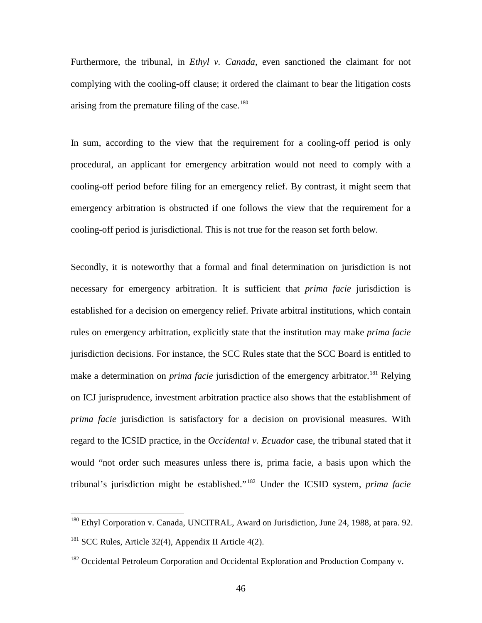Furthermore, the tribunal, in *Ethyl v. Canada*, even sanctioned the claimant for not complying with the cooling-off clause; it ordered the claimant to bear the litigation costs arising from the premature filing of the case.<sup>[180](#page-48-0)</sup>

In sum, according to the view that the requirement for a cooling-off period is only procedural, an applicant for emergency arbitration would not need to comply with a cooling-off period before filing for an emergency relief. By contrast, it might seem that emergency arbitration is obstructed if one follows the view that the requirement for a cooling-off period is jurisdictional. This is not true for the reason set forth below.

Secondly, it is noteworthy that a formal and final determination on jurisdiction is not necessary for emergency arbitration. It is sufficient that *prima facie* jurisdiction is established for a decision on emergency relief. Private arbitral institutions, which contain rules on emergency arbitration, explicitly state that the institution may make *prima facie* jurisdiction decisions. For instance, the SCC Rules state that the SCC Board is entitled to make a determination on *prima facie* jurisdiction of the emergency arbitrator.<sup>[181](#page-48-1)</sup> Relying on ICJ jurisprudence, investment arbitration practice also shows that the establishment of *prima facie* jurisdiction is satisfactory for a decision on provisional measures. With regard to the ICSID practice, in the *Occidental v. Ecuador* case, the tribunal stated that it would "not order such measures unless there is, prima facie, a basis upon which the tribunal's jurisdiction might be established." [182](#page-48-2) Under the ICSID system, *prima facie*

<span id="page-48-1"></span><span id="page-48-0"></span><sup>&</sup>lt;sup>180</sup> Ethyl Corporation v. Canada, UNCITRAL, Award on Jurisdiction, June 24, 1988, at para. 92.  $181$  SCC Rules, Article 32(4), Appendix II Article 4(2).

<span id="page-48-2"></span><sup>&</sup>lt;sup>182</sup> Occidental Petroleum Corporation and Occidental Exploration and Production Company v.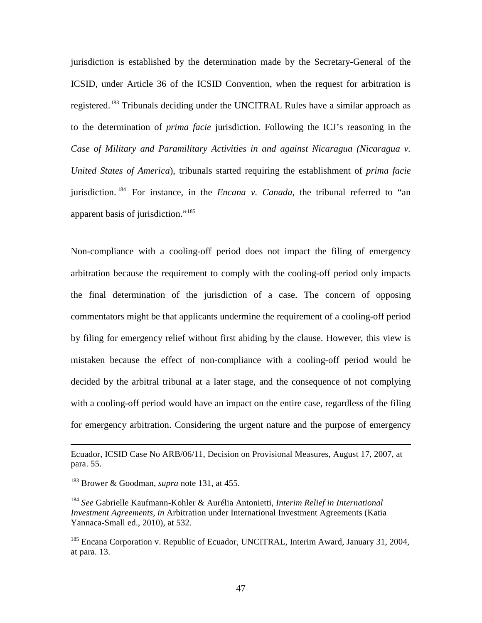jurisdiction is established by the determination made by the Secretary-General of the ICSID, under Article 36 of the ICSID Convention, when the request for arbitration is registered.[183](#page-49-0) Tribunals deciding under the UNCITRAL Rules have a similar approach as to the determination of *prima facie* jurisdiction. Following the ICJ's reasoning in the *Case of Military and Paramilitary Activities in and against Nicaragua (Nicaragua v. United States of America*), tribunals started requiring the establishment of *prima facie* jurisdiction. [184](#page-49-1) For instance, in the *Encana v. Canada*, the tribunal referred to "an apparent basis of jurisdiction."[185](#page-49-2)

Non-compliance with a cooling-off period does not impact the filing of emergency arbitration because the requirement to comply with the cooling-off period only impacts the final determination of the jurisdiction of a case. The concern of opposing commentators might be that applicants undermine the requirement of a cooling-off period by filing for emergency relief without first abiding by the clause. However, this view is mistaken because the effect of non-compliance with a cooling-off period would be decided by the arbitral tribunal at a later stage, and the consequence of not complying with a cooling-off period would have an impact on the entire case, regardless of the filing for emergency arbitration. Considering the urgent nature and the purpose of emergency

 $\overline{a}$ 

Ecuador, ICSID Case No ARB/06/11, Decision on Provisional Measures, August 17, 2007, at para. 55.

<span id="page-49-0"></span><sup>183</sup> Brower & Goodman, *supra* note 131, at 455.

<span id="page-49-1"></span><sup>184</sup> *See* Gabrielle Kaufmann-Kohler & Aurélia Antonietti, *Interim Relief in International Investment Agreements, in* Arbitration under International Investment Agreements (Katia Yannaca-Small ed., 2010), at 532.

<span id="page-49-2"></span><sup>&</sup>lt;sup>185</sup> Encana Corporation v. Republic of Ecuador, UNCITRAL, Interim Award, January 31, 2004, at para. 13.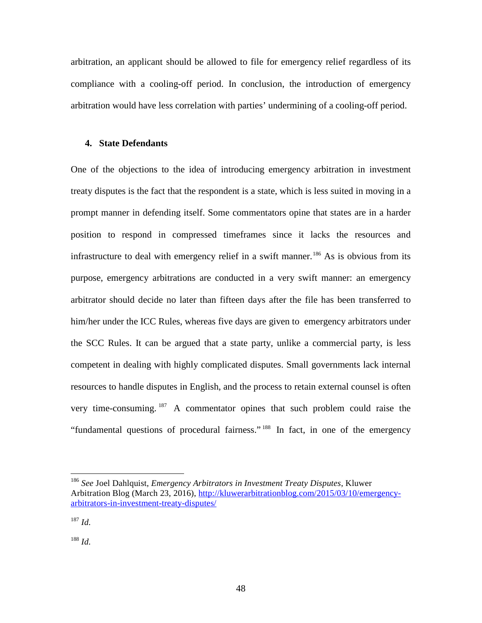arbitration, an applicant should be allowed to file for emergency relief regardless of its compliance with a cooling-off period. In conclusion, the introduction of emergency arbitration would have less correlation with parties' undermining of a cooling-off period.

## **4. State Defendants**

One of the objections to the idea of introducing emergency arbitration in investment treaty disputes is the fact that the respondent is a state, which is less suited in moving in a prompt manner in defending itself. Some commentators opine that states are in a harder position to respond in compressed timeframes since it lacks the resources and infrastructure to deal with emergency relief in a swift manner.<sup>[186](#page-50-0)</sup> As is obvious from its purpose, emergency arbitrations are conducted in a very swift manner: an emergency arbitrator should decide no later than fifteen days after the file has been transferred to him/her under the ICC Rules, whereas five days are given to emergency arbitrators under the SCC Rules. It can be argued that a state party, unlike a commercial party, is less competent in dealing with highly complicated disputes. Small governments lack internal resources to handle disputes in English, and the process to retain external counsel is often very time-consuming. [187](#page-50-1) A commentator opines that such problem could raise the "fundamental questions of procedural fairness." [188](#page-50-2) In fact, in one of the emergency

<span id="page-50-0"></span><sup>186</sup> *See* Joel Dahlquist, *Emergency Arbitrators in Investment Treaty Disputes*, Kluwer Arbitration Blog (March 23, 2016), [http://kluwerarbitrationblog.com/2015/03/10/emergency](http://kluwerarbitrationblog.com/2015/03/10/emergency-arbitrators-in-investment-treaty-disputes/)[arbitrators-in-investment-treaty-disputes/](http://kluwerarbitrationblog.com/2015/03/10/emergency-arbitrators-in-investment-treaty-disputes/)

<span id="page-50-1"></span> $^{187}$  *Id.* 

<span id="page-50-2"></span> $188$  *Id.*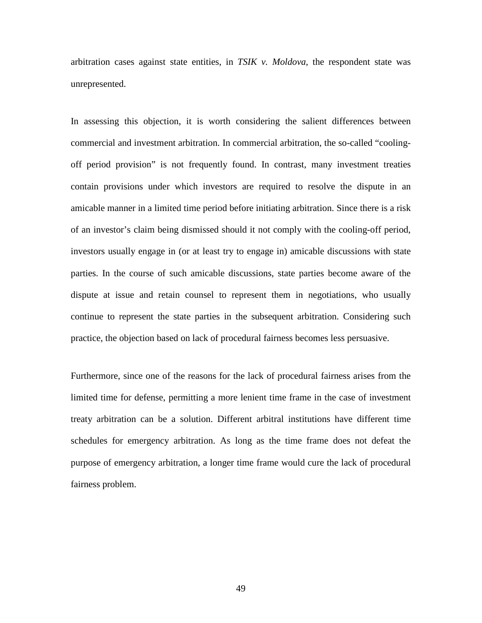arbitration cases against state entities, in *TSIK v. Moldova*, the respondent state was unrepresented.

In assessing this objection, it is worth considering the salient differences between commercial and investment arbitration. In commercial arbitration, the so-called "coolingoff period provision" is not frequently found. In contrast, many investment treaties contain provisions under which investors are required to resolve the dispute in an amicable manner in a limited time period before initiating arbitration. Since there is a risk of an investor's claim being dismissed should it not comply with the cooling-off period, investors usually engage in (or at least try to engage in) amicable discussions with state parties. In the course of such amicable discussions, state parties become aware of the dispute at issue and retain counsel to represent them in negotiations, who usually continue to represent the state parties in the subsequent arbitration. Considering such practice, the objection based on lack of procedural fairness becomes less persuasive.

Furthermore, since one of the reasons for the lack of procedural fairness arises from the limited time for defense, permitting a more lenient time frame in the case of investment treaty arbitration can be a solution. Different arbitral institutions have different time schedules for emergency arbitration. As long as the time frame does not defeat the purpose of emergency arbitration, a longer time frame would cure the lack of procedural fairness problem.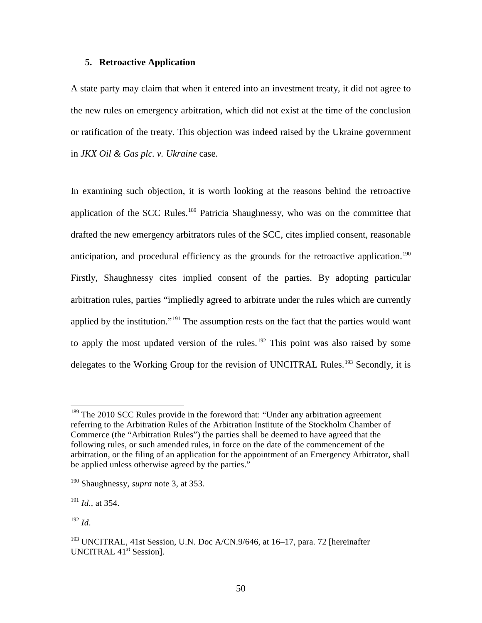## **5. Retroactive Application**

A state party may claim that when it entered into an investment treaty, it did not agree to the new rules on emergency arbitration, which did not exist at the time of the conclusion or ratification of the treaty. This objection was indeed raised by the Ukraine government in *JKX Oil & Gas plc. v. Ukraine* case.

In examining such objection, it is worth looking at the reasons behind the retroactive application of the SCC Rules.<sup>[189](#page-52-0)</sup> Patricia Shaughnessy, who was on the committee that drafted the new emergency arbitrators rules of the SCC, cites implied consent, reasonable anticipation, and procedural efficiency as the grounds for the retroactive application.<sup>[190](#page-52-1)</sup> Firstly, Shaughnessy cites implied consent of the parties. By adopting particular arbitration rules, parties "impliedly agreed to arbitrate under the rules which are currently applied by the institution."<sup>[191](#page-52-2)</sup> The assumption rests on the fact that the parties would want to apply the most updated version of the rules.<sup>[192](#page-52-3)</sup> This point was also raised by some delegates to the Working Group for the revision of UNCITRAL Rules.<sup>[193](#page-52-4)</sup> Secondly, it is

<span id="page-52-3"></span> $192$  *Id.* 

 $\overline{a}$ 

<span id="page-52-0"></span> $189$  The 2010 SCC Rules provide in the foreword that: "Under any arbitration agreement referring to the Arbitration Rules of the Arbitration Institute of the Stockholm Chamber of Commerce (the "Arbitration Rules") the parties shall be deemed to have agreed that the following rules, or such amended rules, in force on the date of the commencement of the arbitration, or the filing of an application for the appointment of an Emergency Arbitrator, shall be applied unless otherwise agreed by the parties."

<span id="page-52-1"></span><sup>190</sup> Shaughnessy, *supra* note 3, at 353.

<span id="page-52-2"></span><sup>191</sup> *Id.,* at 354.

<span id="page-52-4"></span> $193$  UNCITRAL, 41st Session, U.N. Doc A/CN.9/646, at 16–17, para. 72 [hereinafter] UNCITRAL 41<sup>st</sup> Session].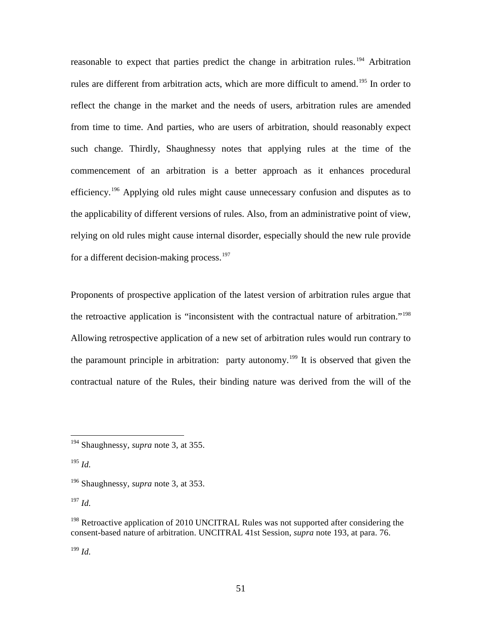reasonable to expect that parties predict the change in arbitration rules.<sup>[194](#page-53-0)</sup> Arbitration rules are different from arbitration acts, which are more difficult to amend.<sup>[195](#page-53-1)</sup> In order to reflect the change in the market and the needs of users, arbitration rules are amended from time to time. And parties, who are users of arbitration, should reasonably expect such change. Thirdly, Shaughnessy notes that applying rules at the time of the commencement of an arbitration is a better approach as it enhances procedural efficiency.[196](#page-53-2) Applying old rules might cause unnecessary confusion and disputes as to the applicability of different versions of rules. Also, from an administrative point of view, relying on old rules might cause internal disorder, especially should the new rule provide for a different decision-making process.<sup>[197](#page-53-3)</sup>

Proponents of prospective application of the latest version of arbitration rules argue that the retroactive application is "inconsistent with the contractual nature of arbitration."[198](#page-53-4) Allowing retrospective application of a new set of arbitration rules would run contrary to the paramount principle in arbitration: party autonomy.<sup>[199](#page-53-5)</sup> It is observed that given the contractual nature of the Rules, their binding nature was derived from the will of the

<span id="page-53-1"></span><sup>195</sup> *Id.*

<span id="page-53-3"></span><sup>197</sup> *Id.* 

<span id="page-53-5"></span><sup>199</sup> *Id.*

<span id="page-53-0"></span><sup>194</sup> Shaughnessy, *supra* note 3, at 355.

<span id="page-53-2"></span><sup>196</sup> Shaughnessy, *supra* note 3, at 353.

<span id="page-53-4"></span><sup>&</sup>lt;sup>198</sup> Retroactive application of 2010 UNCITRAL Rules was not supported after considering the consent-based nature of arbitration. UNCITRAL 41st Session, *supra* note 193, at para. 76.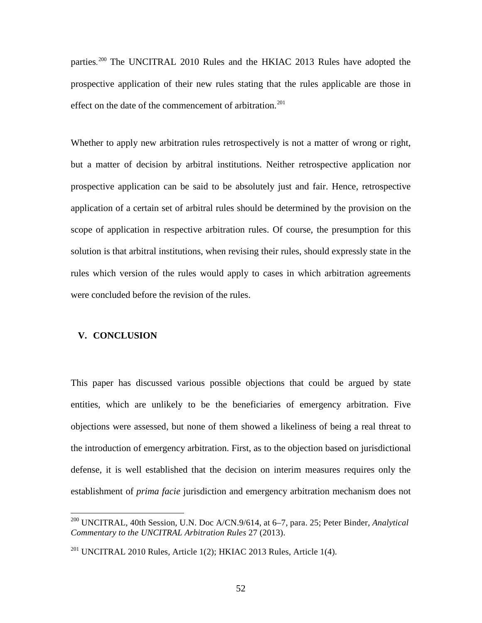parties.<sup>[200](#page-54-0)</sup> The UNCITRAL 2010 Rules and the HKIAC 2013 Rules have adopted the prospective application of their new rules stating that the rules applicable are those in effect on the date of the commencement of arbitration.<sup>[201](#page-54-1)</sup>

Whether to apply new arbitration rules retrospectively is not a matter of wrong or right, but a matter of decision by arbitral institutions. Neither retrospective application nor prospective application can be said to be absolutely just and fair. Hence, retrospective application of a certain set of arbitral rules should be determined by the provision on the scope of application in respective arbitration rules. Of course, the presumption for this solution is that arbitral institutions, when revising their rules, should expressly state in the rules which version of the rules would apply to cases in which arbitration agreements were concluded before the revision of the rules.

## **V. CONCLUSION**

This paper has discussed various possible objections that could be argued by state entities, which are unlikely to be the beneficiaries of emergency arbitration. Five objections were assessed, but none of them showed a likeliness of being a real threat to the introduction of emergency arbitration. First, as to the objection based on jurisdictional defense, it is well established that the decision on interim measures requires only the establishment of *prima facie* jurisdiction and emergency arbitration mechanism does not

<span id="page-54-0"></span><sup>200</sup> UNCITRAL, 40th Session, U.N. Doc A/CN.9/614, at 6–7, para. 25; Peter Binder, *Analytical Commentary to the UNCITRAL Arbitration Rules* 27 (2013).

<span id="page-54-1"></span> $^{201}$  UNCITRAL 2010 Rules, Article 1(2); HKIAC 2013 Rules, Article 1(4).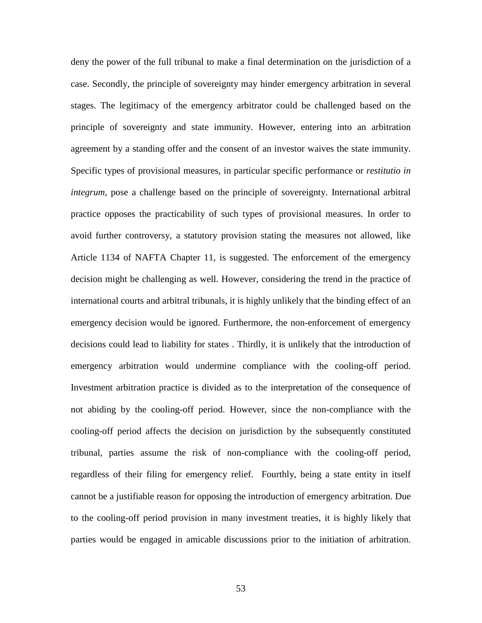deny the power of the full tribunal to make a final determination on the jurisdiction of a case. Secondly, the principle of sovereignty may hinder emergency arbitration in several stages. The legitimacy of the emergency arbitrator could be challenged based on the principle of sovereignty and state immunity. However, entering into an arbitration agreement by a standing offer and the consent of an investor waives the state immunity. Specific types of provisional measures, in particular specific performance or *restitutio in integrum,* pose a challenge based on the principle of sovereignty. International arbitral practice opposes the practicability of such types of provisional measures. In order to avoid further controversy, a statutory provision stating the measures not allowed, like Article 1134 of NAFTA Chapter 11, is suggested. The enforcement of the emergency decision might be challenging as well. However, considering the trend in the practice of international courts and arbitral tribunals, it is highly unlikely that the binding effect of an emergency decision would be ignored. Furthermore, the non-enforcement of emergency decisions could lead to liability for states . Thirdly, it is unlikely that the introduction of emergency arbitration would undermine compliance with the cooling-off period. Investment arbitration practice is divided as to the interpretation of the consequence of not abiding by the cooling-off period. However, since the non-compliance with the cooling-off period affects the decision on jurisdiction by the subsequently constituted tribunal, parties assume the risk of non-compliance with the cooling-off period, regardless of their filing for emergency relief. Fourthly, being a state entity in itself cannot be a justifiable reason for opposing the introduction of emergency arbitration. Due to the cooling-off period provision in many investment treaties, it is highly likely that parties would be engaged in amicable discussions prior to the initiation of arbitration.